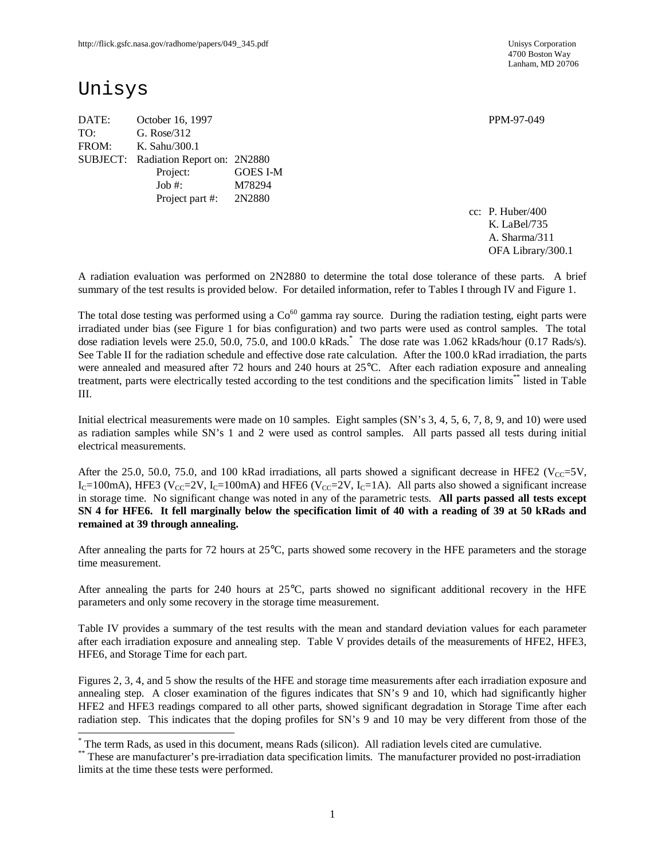4700 Boston Way Lanham, MD 20706

# Unisys

 $\overline{a}$ 

DATE: October 16, 1997 PPM-97-049 TO: G. Rose/312 FROM: K. Sahu/300.1 SUBJECT: Radiation Report on: 2N2880 Project: GOES I-M Job #: M78294 Project part #: 2N2880

cc: P. Huber/400 K. LaBel/735 A. Sharma/311 OFA Library/300.1

A radiation evaluation was performed on 2N2880 to determine the total dose tolerance of these parts. A brief summary of the test results is provided below. For detailed information, refer to Tables I through IV and Figure 1.

The total dose testing was performed using a  $Co<sup>60</sup>$  gamma ray source. During the radiation testing, eight parts were irradiated under bias (see Figure 1 for bias configuration) and two parts were used as control samples. The total dose radiation levels were 25.0, 50.0, 75.0, and 100.0 kRads.\* The dose rate was 1.062 kRads/hour (0.17 Rads/s). See Table II for the radiation schedule and effective dose rate calculation. After the 100.0 kRad irradiation, the parts were annealed and measured after 72 hours and 240 hours at 25°C. After each radiation exposure and annealing treatment, parts were electrically tested according to the test conditions and the specification limits\*\* listed in Table III.

Initial electrical measurements were made on 10 samples. Eight samples (SN's 3, 4, 5, 6, 7, 8, 9, and 10) were used as radiation samples while SN's 1 and 2 were used as control samples. All parts passed all tests during initial electrical measurements.

After the 25.0, 50.0, 75.0, and 100 kRad irradiations, all parts showed a significant decrease in HFE2 ( $V_{CC}=5V$ ,  $I_c=100$ mA), HFE3 (V<sub>CC</sub>=2V,  $I_c=100$ mA) and HFE6 (V<sub>CC</sub>=2V,  $I_c=1A$ ). All parts also showed a significant increase in storage time. No significant change was noted in any of the parametric tests. **All parts passed all tests except SN 4 for HFE6. It fell marginally below the specification limit of 40 with a reading of 39 at 50 kRads and remained at 39 through annealing.**

After annealing the parts for 72 hours at 25°C, parts showed some recovery in the HFE parameters and the storage time measurement.

After annealing the parts for 240 hours at  $25^{\circ}$ C, parts showed no significant additional recovery in the HFE parameters and only some recovery in the storage time measurement.

Table IV provides a summary of the test results with the mean and standard deviation values for each parameter after each irradiation exposure and annealing step. Table V provides details of the measurements of HFE2, HFE3, HFE6, and Storage Time for each part.

Figures 2, 3, 4, and 5 show the results of the HFE and storage time measurements after each irradiation exposure and annealing step. A closer examination of the figures indicates that SN's 9 and 10, which had significantly higher HFE2 and HFE3 readings compared to all other parts, showed significant degradation in Storage Time after each radiation step. This indicates that the doping profiles for SN's 9 and 10 may be very different from those of the

<sup>\*</sup> The term Rads, as used in this document, means Rads (silicon). All radiation levels cited are cumulative.

<sup>\*\*</sup> These are manufacturer's pre-irradiation data specification limits. The manufacturer provided no post-irradiation limits at the time these tests were performed.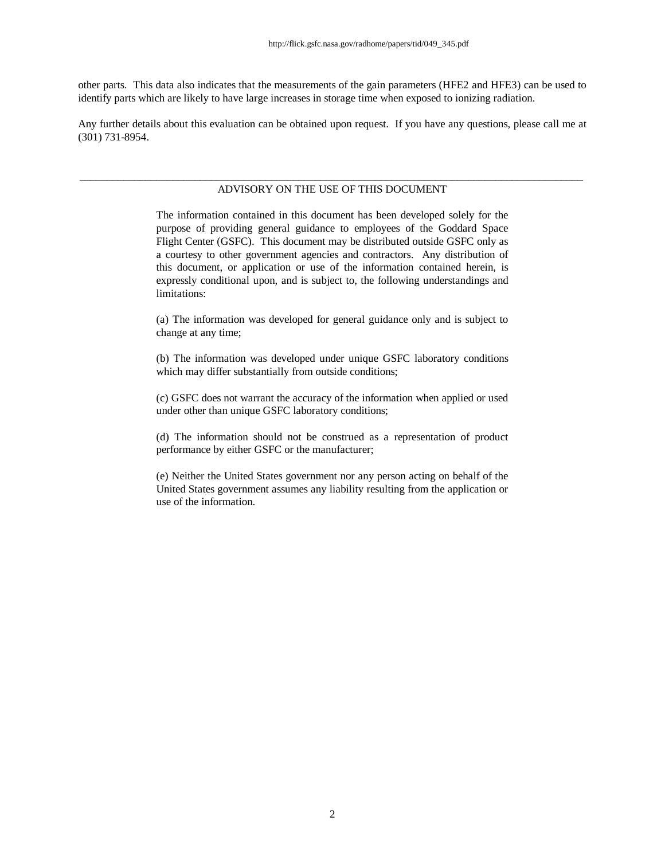other parts. This data also indicates that the measurements of the gain parameters (HFE2 and HFE3) can be used to identify parts which are likely to have large increases in storage time when exposed to ionizing radiation.

Any further details about this evaluation can be obtained upon request. If you have any questions, please call me at (301) 731-8954.

#### \_\_\_\_\_\_\_\_\_\_\_\_\_\_\_\_\_\_\_\_\_\_\_\_\_\_\_\_\_\_\_\_\_\_\_\_\_\_\_\_\_\_\_\_\_\_\_\_\_\_\_\_\_\_\_\_\_\_\_\_\_\_\_\_\_\_\_\_\_\_\_\_\_\_\_\_\_\_\_\_\_\_\_\_\_\_\_\_\_\_\_\_ ADVISORY ON THE USE OF THIS DOCUMENT

The information contained in this document has been developed solely for the purpose of providing general guidance to employees of the Goddard Space Flight Center (GSFC). This document may be distributed outside GSFC only as a courtesy to other government agencies and contractors. Any distribution of this document, or application or use of the information contained herein, is expressly conditional upon, and is subject to, the following understandings and limitations:

(a) The information was developed for general guidance only and is subject to change at any time;

(b) The information was developed under unique GSFC laboratory conditions which may differ substantially from outside conditions;

(c) GSFC does not warrant the accuracy of the information when applied or used under other than unique GSFC laboratory conditions;

(d) The information should not be construed as a representation of product performance by either GSFC or the manufacturer;

(e) Neither the United States government nor any person acting on behalf of the United States government assumes any liability resulting from the application or use of the information.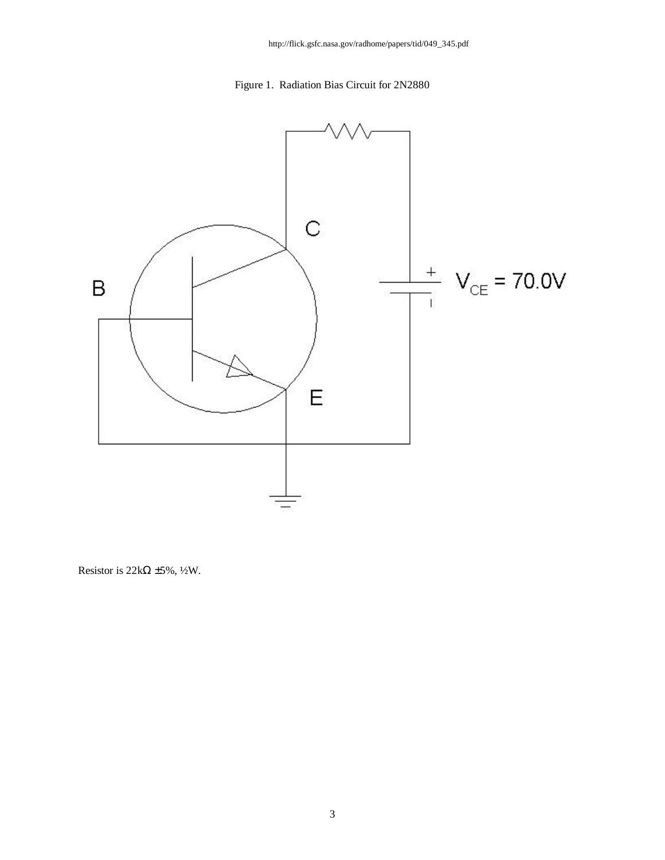Figure 1. Radiation Bias Circuit for 2N2880



Resistor is  $22k\Omega \pm 5\%, \frac{1}{2}W$ .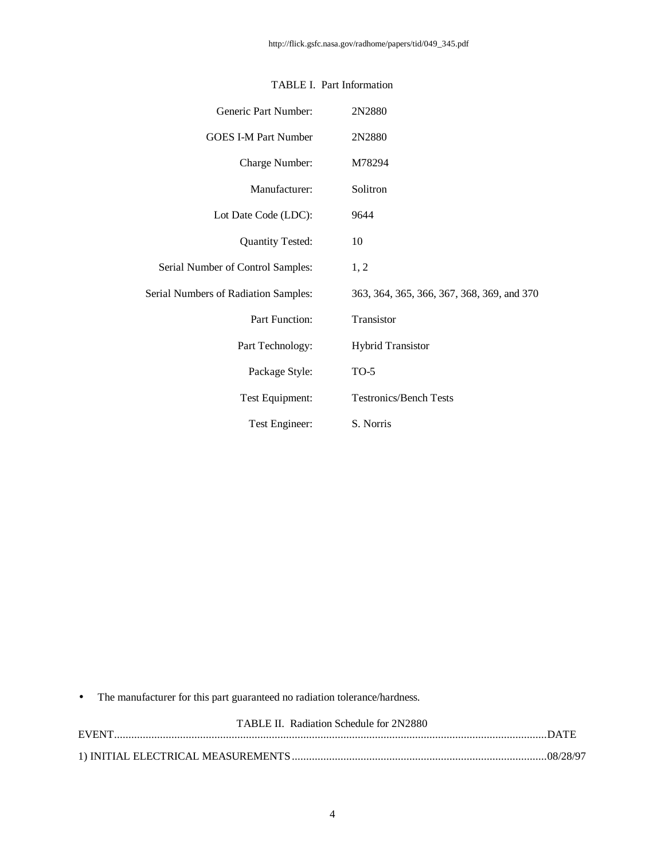| Generic Part Number:                 | 2N2880                                     |
|--------------------------------------|--------------------------------------------|
| <b>GOES I-M Part Number</b>          | 2N2880                                     |
| Charge Number:                       | M78294                                     |
| Manufacturer:                        | Solitron                                   |
| Lot Date Code (LDC):                 | 9644                                       |
| <b>Quantity Tested:</b>              | 10                                         |
| Serial Number of Control Samples:    | 1, 2                                       |
| Serial Numbers of Radiation Samples: | 363, 364, 365, 366, 367, 368, 369, and 370 |
| Part Function:                       | Transistor                                 |
| Part Technology:                     | <b>Hybrid Transistor</b>                   |
| Package Style:                       | $TO-5$                                     |
| Test Equipment:                      | <b>Testronics/Bench Tests</b>              |
| Test Engineer:                       | S. Norris                                  |

### TABLE I. Part Information

• The manufacturer for this part guaranteed no radiation tolerance/hardness.

| <b>TABLE II.</b> Radiation Schedule for 2N2880 |
|------------------------------------------------|
|                                                |
|                                                |
|                                                |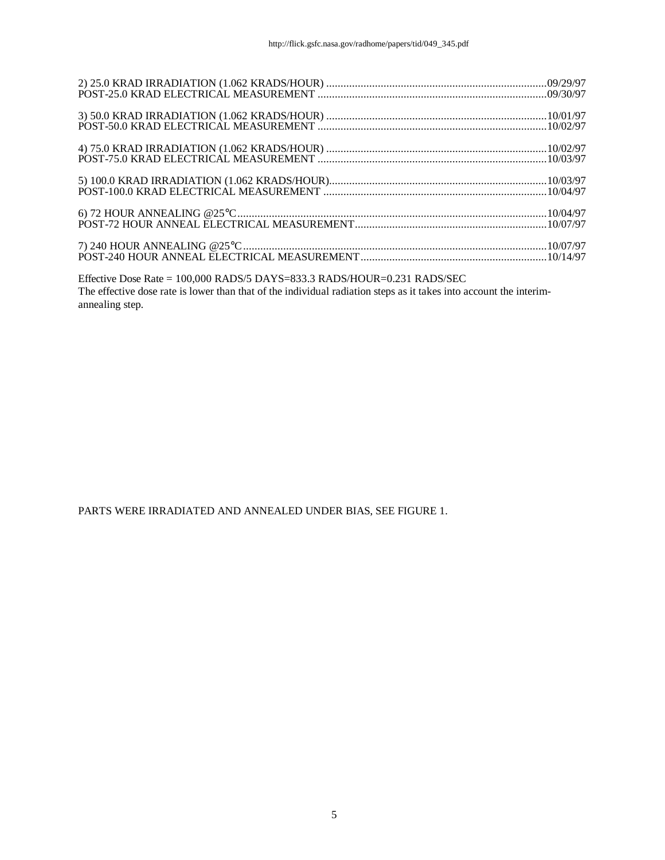| $7) 240 HOUR ANNEALING @25°C10/07/97POST-240 HOUR ANNEAL ELECTRICAL MEASUREMENT10/14/97$ |  |
|------------------------------------------------------------------------------------------|--|

Effective Dose Rate = 100,000 RADS/5 DAYS=833.3 RADS/HOUR=0.231 RADS/SEC The effective dose rate is lower than that of the individual radiation steps as it takes into account the interimannealing step.

PARTS WERE IRRADIATED AND ANNEALED UNDER BIAS, SEE FIGURE 1.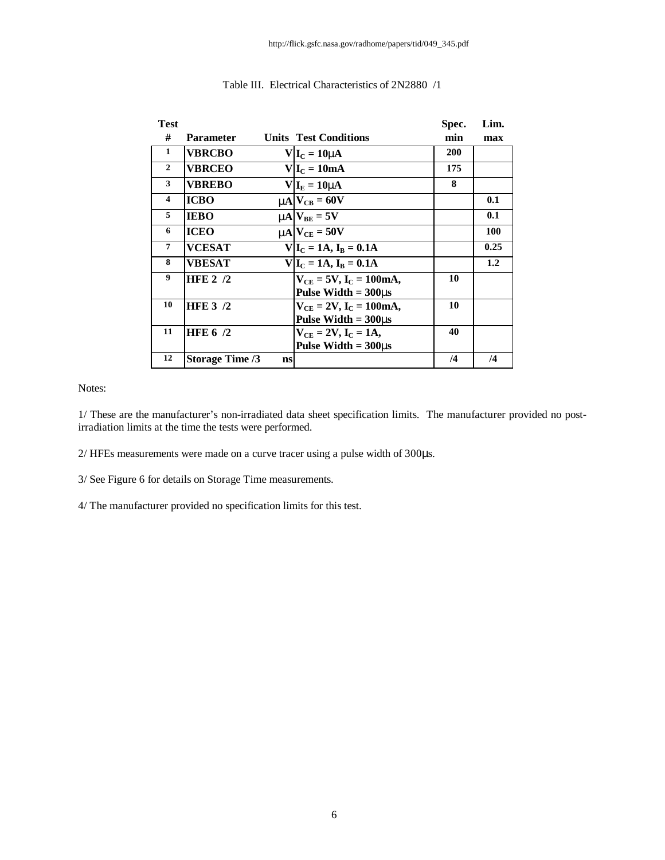| <b>Test</b>    |                              |                                 | Spec.      | Lim.       |
|----------------|------------------------------|---------------------------------|------------|------------|
| #              | Parameter                    | <b>Units Test Conditions</b>    | min        | max        |
| $\mathbf{1}$   | <b>VBRCBO</b>                | $V _{\rm I_C}=10$ mA            | <b>200</b> |            |
| $\mathbf{2}$   | <b>VBRCEO</b>                | $V I_C = 10mA$                  | 175        |            |
| $\mathbf{3}$   | <b>VBREBO</b>                | $V I_{E}=10$ mA                 | 8          |            |
| $\overline{4}$ | <b>ICBO</b>                  | $mN_{CB} = 60V$                 |            | 0.1        |
| 5              | <b>IEBO</b>                  | $mA$ $V_{BE} = 5V$              |            | 0.1        |
| 6              | <b>ICEO</b>                  | $mN_{CF} = 50V$                 |            | <b>100</b> |
| $\overline{7}$ | <b>VCESAT</b>                | $V I_C = 1A, I_B = 0.1A$        |            | 0.25       |
| 8              | <b>VBESAT</b>                | $V I_C = 1A, I_R = 0.1A$        |            | 1.2        |
| 9              | <b>HFE 2 /2</b>              | $V_{CE} = 5V$ , $I_C = 100mA$ , | 10         |            |
|                |                              | Pulse Width $= 300$ ms          |            |            |
| 10             | <b>HFE 3 /2</b>              | $V_{CE} = 2V$ , $I_C = 100mA$ , | 10         |            |
|                |                              | Pulse Width $= 300$ ms          |            |            |
| 11             | HFE $6/2$                    | $V_{CF} = 2V$ , $I_C = 1A$ ,    | 40         |            |
|                |                              | Pulse Width $= 300$ ms          |            |            |
| 12             | <b>Storage Time /3</b><br>ns |                                 | /4         | $\sqrt{4}$ |

### Table III. Electrical Characteristics of 2N2880 /1

#### Notes:

1/ These are the manufacturer's non-irradiated data sheet specification limits. The manufacturer provided no postirradiation limits at the time the tests were performed.

2/ HFEs measurements were made on a curve tracer using a pulse width of 300μs.

3/ See Figure 6 for details on Storage Time measurements.

4/ The manufacturer provided no specification limits for this test.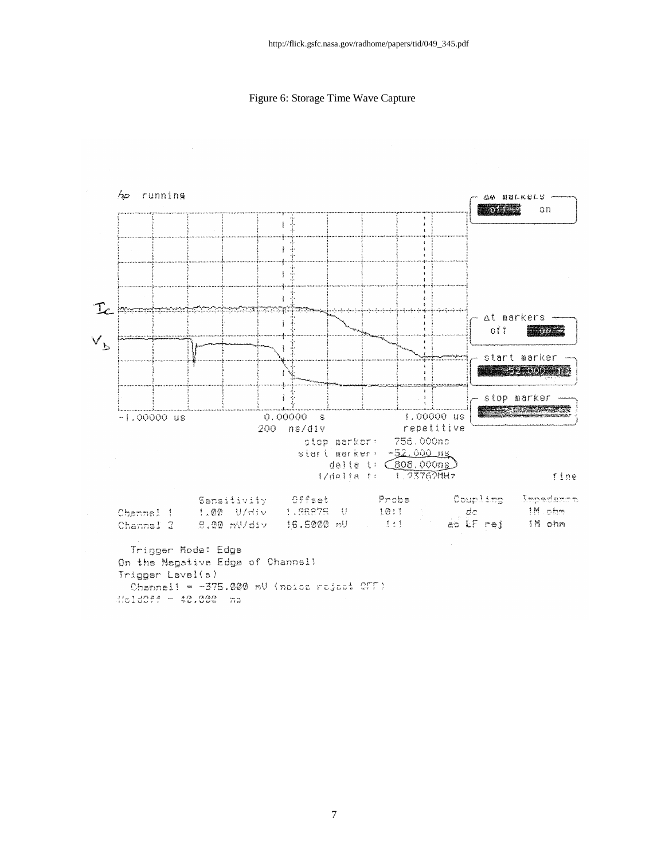Figure 6: Storage Time Wave Capture



 $11.1077 - 40.000$  ma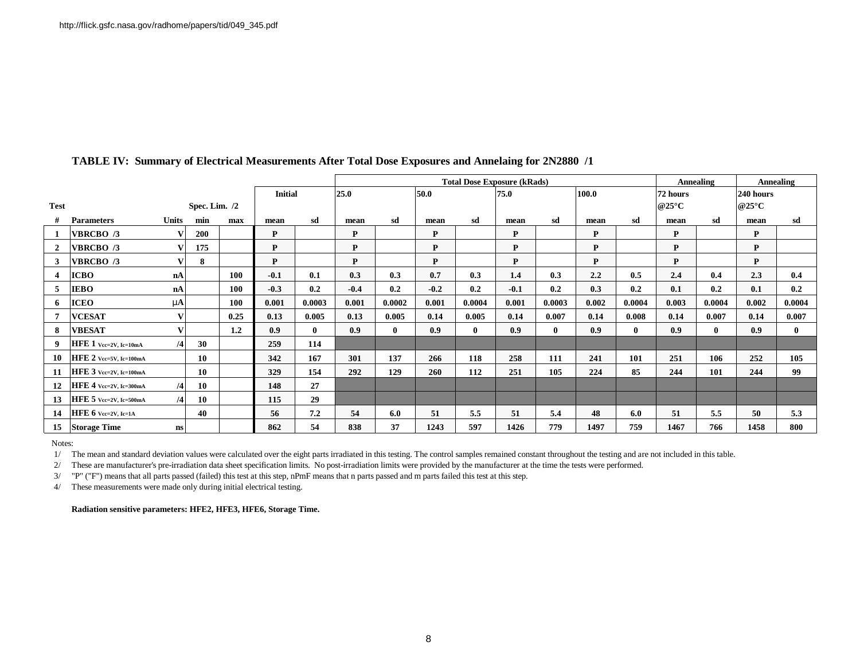|                |                                 |                        |                 |      |                |              | <b>Total Dose Exposure (kRads)</b> |              |              |              |        |              | Annealing |              | <b>Annealing</b>         |              |                     |              |
|----------------|---------------------------------|------------------------|-----------------|------|----------------|--------------|------------------------------------|--------------|--------------|--------------|--------|--------------|-----------|--------------|--------------------------|--------------|---------------------|--------------|
|                |                                 |                        |                 |      | <b>Initial</b> |              | 25.0                               |              | 50.0<br>75.0 |              |        | 100.0        |           |              | 72 hours                 | 240 hours    |                     |              |
| <b>Test</b>    |                                 |                        | Spec. Lim. $/2$ |      |                |              |                                    |              |              |              |        |              |           |              | @25 $\mathrm{^{\circ}C}$ |              | @25 $\rm ^{\circ}C$ |              |
|                | <b>Parameters</b>               | <b>Units</b>           | min             | max  | mean           | sd           | mean                               | sd           | mean         | sd           | mean   | sd           | mean      | -sd          | mean                     | sd           | mean                | sd           |
|                | <b>VBRCBO</b> /3                |                        | 200             |      | P              |              | P                                  |              | P            |              | P      |              | P         |              | P                        |              | P                   |              |
| 2              | <b>VBRCBO</b> /3                |                        | 175             |      | P              |              | P                                  |              | P            |              | P      |              | P         |              | P                        |              | P                   |              |
| $\mathbf{3}$   | <b>VBRCBO</b> /3                |                        | 8               |      | P              |              | P                                  |              | P            |              | P      |              | P         |              | P                        |              | P                   |              |
| $\overline{4}$ | <b>ICBO</b>                     | nA                     |                 | 100  | $-0.1$         | 0.1          | 0.3                                | 0.3          | 0.7          | 0.3          | 1.4    | 0.3          | 2.2       | 0.5          | 2.4                      | 0.4          | 2.3                 | 0.4          |
| 5              | <b>IEBO</b>                     | nA                     |                 | 100  | $-0.3$         | 0.2          | $-0.4$                             | 0.2          | $-0.2$       | 0.2          | $-0.1$ | 0.2          | 0.3       | 0.2          | 0.1                      | 0.2          | 0.1                 | 0.2          |
| 6              | <b>ICEO</b>                     | mA                     |                 | 100  | 0.001          | 0.0003       | 0.001                              | 0.0002       | 0.001        | 0.0004       | 0.001  | 0.0003       | 0.002     | 0.0004       | 0.003                    | 0.0004       | 0.002               | 0.0004       |
| $\overline{7}$ | <b>VCESAT</b>                   |                        |                 | 0.25 | 0.13           | 0.005        | 0.13                               | 0.005        | 0.14         | 0.005        | 0.14   | 0.007        | 0.14      | 0.008        | 0.14                     | 0.007        | 0.14                | 0.007        |
| 8              | <b>VBESAT</b>                   |                        |                 | 1.2  | 0.9            | $\mathbf{0}$ | 0.9                                | $\mathbf{0}$ | 0.9          | $\mathbf{0}$ | 0.9    | $\mathbf{0}$ | 0.9       | $\mathbf{0}$ | 0.9                      | $\mathbf{0}$ | 0.9                 | $\mathbf{0}$ |
| 9              | HFE 1 Vec=2V, Ic=10mA           | /4                     | 30              |      | 259            | 114          |                                    |              |              |              |        |              |           |              |                          |              |                     |              |
| 10             | HFE 2 Vec=5V, Ic=100mA          |                        | 10              |      | 342            | 167          | 301                                | 137          | 266          | 118          | 258    | 111          | 241       | 101          | 251                      | 106          | 252                 | 105          |
| 11             | HFE 3 Vec=2V, Ic=100mA          |                        | 10              |      | 329            | 154          | 292                                | 129          | 260          | 112          | 251    | 105          | 224       | 85           | 244                      | 101          | 244                 | 99           |
| 12             | HFE 4 Vee=2V, Ie=300mA          | /4                     | 10              |      | 148            | 27           |                                    |              |              |              |        |              |           |              |                          |              |                     |              |
| 13             | HFE 5 Vec=2V, Ic=500mA          | $\overline{4}$         | 10              |      | 115            | 29           |                                    |              |              |              |        |              |           |              |                          |              |                     |              |
| 14             | <b>HFE 6</b> $Vec=2V$ , $Ic=1A$ |                        | 40              |      | 56             | 7.2          | 54                                 | 6.0          | 51           | 5.5          | 51     | 5.4          | 48        | 6.0          | 51                       | 5.5          | 50                  | 5.3          |
| 15             | <b>Storage Time</b>             | $\mathbf{n}\mathbf{s}$ |                 |      | 862            | 54           | 838                                | 37           | 1243         | 597          | 1426   | 779          | 1497      | 759          | 1467                     | 766          | 1458                | 800          |

### **TABLE IV: Summary of Electrical Measurements After Total Dose Exposures and Annelaing for 2N2880 /1**

Notes:

1/ The mean and standard deviation values were calculated over the eight parts irradiated in this testing. The control samples remained constant throughout the testing and are not included in this table.

2/ These are manufacturer's pre-irradiation data sheet specification limits. No post-irradiation limits were provided by the manufacturer at the time the tests were performed.

3/ "P" ("F") means that all parts passed (failed) this test at this step, nPmF means that n parts passed and m parts failed this test at this step.

4/ These measurements were made only during initial electrical testing.

**Radiation sensitive parameters: HFE2, HFE3, HFE6, Storage Time.**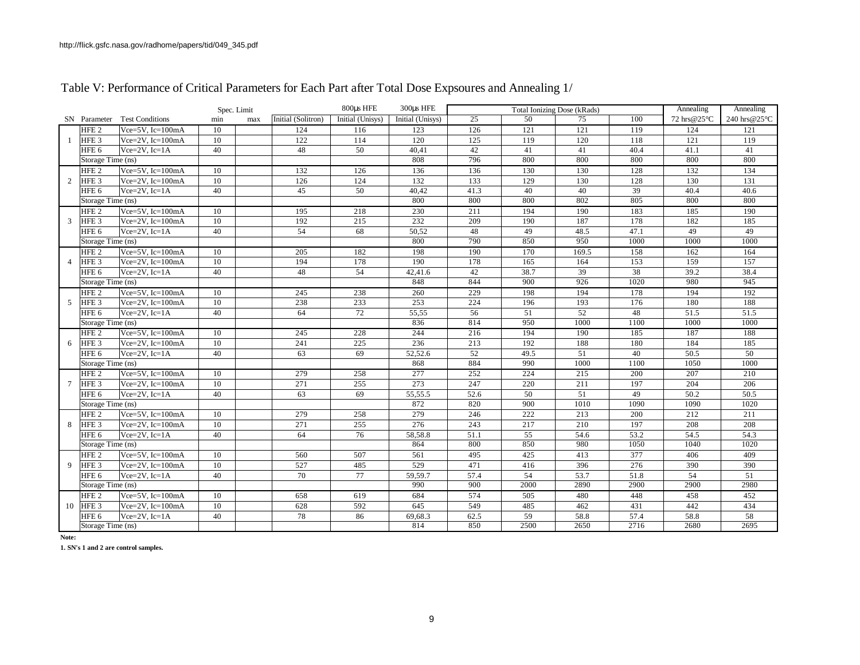|    |                   |                              | Spec. Limit     |     |                    | 800us HFE        | 300us HFE        | Total Ionizing Dose (kRads) |      |                 | Annealing | Annealing   |              |
|----|-------------------|------------------------------|-----------------|-----|--------------------|------------------|------------------|-----------------------------|------|-----------------|-----------|-------------|--------------|
|    |                   | SN Parameter Test Conditions | min             | max | Initial (Solitron) | Initial (Unisys) | Initial (Unisys) | $\overline{25}$             | 50   | 75              | 100       | 72 hrs@25°C | 240 hrs@25°C |
|    | HFE <sub>2</sub>  | Vce= $5V$ , Ic= $100mA$      | 10              |     | 124                | 116              | 123              | 126                         | 121  | 121             | 119       | 124         | 121          |
| 1  | HFE <sub>3</sub>  | $Vce=2V$ , $Ic=100mA$        | 10              |     | 122                | 114              | 120              | 125                         | 119  | 120             | 118       | 121         | 119          |
|    | HFE 6             | $Vce=2V, Ic=1A$              | 40              |     | 48                 | 50               | 40,41            | 42                          | 41   | 41              | 40.4      | 41.1        | 41           |
|    | Storage Time (ns) |                              |                 |     |                    |                  | 808              | 796                         | 800  | 800             | 800       | 800         | 800          |
|    | HFE <sub>2</sub>  | Vce= $5V$ , Ic= $100mA$      | 10              |     | 132                | 126              | 136              | 136                         | 130  | 130             | 128       | 132         | 134          |
| 2  | HFE <sub>3</sub>  | Vce= $2V$ , Ic= $100mA$      | 10              |     | 126                | 124              | 132              | 133                         | 129  | 130             | 128       | 130         | 131          |
|    | HFE <sub>6</sub>  | $Vce = 2V$ , $Ic = 1A$       | 40              |     | 45                 | 50               | 40,42            | 41.3                        | 40   | 40              | 39        | 40.4        | 40.6         |
|    | Storage Time (ns) |                              |                 |     |                    |                  | 800              | 800                         | 800  | 802             | 805       | 800         | 800          |
|    | HFE2              | Vce= $5V$ , Ic= $100mA$      | 10              |     | 195                | 218              | 230              | 211                         | 194  | 190             | 183       | 185         | 190          |
| 3  | HFE <sub>3</sub>  | $Vce=2V$ , Ic=100mA          | 10              |     | 192                | 215              | 232              | 209                         | 190  | 187             | 178       | 182         | 185          |
|    | HFE <sub>6</sub>  | $Vce=2V$ , $Ic=1A$           | 40              |     | 54                 | 68               | 50,52            | 48                          | 49   | 48.5            | 47.1      | 49          | 49           |
|    | Storage Time (ns) |                              |                 |     |                    |                  | 800              | 790                         | 850  | 950             | 1000      | 1000        | 1000         |
|    | HFE <sub>2</sub>  | Vce= $5V$ , Ic= $100mA$      | 10              |     | 205                | 182              | 198              | 190                         | 170  | 169.5           | 158       | 162         | 164          |
| 4  | HFE <sub>3</sub>  | Vce=2V, Ic=100mA             | 10              |     | 194                | 178              | 190              | 178                         | 165  | 164             | 153       | 159         | 157          |
|    | HFE <sub>6</sub>  | $Vce=2V$ , $Ic=1A$           | 40              |     | 48                 | 54               | 42,41.6          | 42                          | 38.7 | 39              | 38        | 39.2        | 38.4         |
|    | Storage Time (ns) |                              |                 |     |                    |                  | 848              | 844                         | 900  | 926             | 1020      | 980         | 945          |
|    | HFE <sub>2</sub>  | Vce= $5V$ , Ic= $100mA$      | 10              |     | 245                | 238              | 260              | 229                         | 198  | 194             | 178       | 194         | 192          |
| 5  | HFE <sub>3</sub>  | Vce= $2V$ , Ic= $100mA$      | 10              |     | 238                | 233              | 253              | 224                         | 196  | 193             | 176       | 180         | 188          |
|    | HFE <sub>6</sub>  | $Vce = 2V$ , $Ic = 1A$       | 40              |     | 64                 | 72               | 55,55            | 56                          | 51   | 52              | 48        | 51.5        | 51.5         |
|    | Storage Time (ns) |                              |                 |     |                    |                  | 836              | 814                         | 950  | 1000            | 1100      | 1000        | 1000         |
|    | HFE <sub>2</sub>  | Vce= $5V$ , Ic= $100mA$      | $\overline{10}$ |     | 245                | 228              | 244              | 216                         | 194  | 190             | 185       | 187         | 188          |
| 6  | HFE <sub>3</sub>  | Vce= $2V$ , Ic= $100mA$      | 10              |     | 241                | 225              | 236              | 213                         | 192  | 188             | 180       | 184         | 185          |
|    | HFE <sub>6</sub>  | Vce= $2V$ , Ic= $1A$         | 40              |     | 63                 | 69               | 52,52.6          | 52                          | 49.5 | $\overline{51}$ | 40        | 50.5        | 50           |
|    | Storage Time (ns) |                              |                 |     |                    |                  | 868              | 884                         | 990  | 1000            | 1100      | 1050        | 1000         |
|    | HFE <sub>2</sub>  | Vce= $5V$ , Ic= $100mA$      | 10              |     | 279                | 258              | 277              | 252                         | 224  | 215             | 200       | 207         | 210          |
| 7  | HFE <sub>3</sub>  | Vce= $2V$ , Ic= $100mA$      | 10              |     | 271                | 255              | 273              | 247                         | 220  | 211             | 197       | 204         | 206          |
|    | HFE <sub>6</sub>  | $Vce = 2V$ , $Ic = 1A$       | 40              |     | 63                 | 69               | 55,55.5          | 52.6                        | 50   | $\overline{51}$ | 49        | 50.2        | 50.5         |
|    | Storage Time (ns) |                              |                 |     |                    |                  | 872              | 820                         | 900  | 1010            | 1090      | 1090        | 1020         |
|    | HFE <sub>2</sub>  | Vce= $5V$ , Ic= $100mA$      | 10              |     | 279                | 258              | 279              | 246                         | 222  | 213             | 200       | 212         | 211          |
| 8  | HFE <sub>3</sub>  | Vce=2V, Ic=100mA             | 10              |     | 271                | 255              | 276              | 243                         | 217  | 210             | 197       | 208         | 208          |
|    | HFE 6             | $Vce=2V, Ic=1A$              | 40              |     | 64                 | 76               | 58,58.8          | 51.1                        | 55   | 54.6            | 53.2      | 54.5        | 54.3         |
|    | Storage Time (ns) |                              |                 |     |                    |                  | 864              | 800                         | 850  | 980             | 1050      | 1040        | 1020         |
|    | HFE <sub>2</sub>  | Vce= $5V$ , Ic= $100mA$      | 10              |     | 560                | 507              | 561              | 495                         | 425  | 413             | 377       | 406         | 409          |
| 9  | HFE <sub>3</sub>  | Vce= $2V$ , Ic= $100mA$      | 10              |     | 527                | 485              | 529              | 471                         | 416  | 396             | 276       | 390         | 390          |
|    | HFE <sub>6</sub>  | $Vce = 2V$ , $Ic = 1A$       | 40              |     | 70                 | 77               | 59,59.7          | 57.4                        | 54   | 53.7            | 51.8      | 54          | 51           |
|    | Storage Time (ns) |                              |                 |     |                    |                  | 990              | 900                         | 2000 | 2890            | 2900      | 2900        | 2980         |
|    | HFE <sub>2</sub>  | Vce= $5V$ , Ic= $100mA$      | 10              |     | 658                | 619              | 684              | 574                         | 505  | 480             | 448       | 458         | 452          |
| 10 | HFE <sub>3</sub>  | Vce= $2V$ , Ic= $100mA$      | 10              |     | 628                | 592              | 645              | 549                         | 485  | 462             | 431       | 442         | 434          |
|    | HFE <sub>6</sub>  | Vce= $2V$ , Ic= $1A$         | 40              |     | 78                 | 86               | 69,68.3          | 62.5                        | 59   | 58.8            | 57.4      | 58.8        | 58           |
|    | Storage Time (ns) |                              |                 |     |                    |                  | 814              | 850                         | 2500 | 2650            | 2716      | 2680        | 2695         |

## Table V: Performance of Critical Parameters for Each Part after Total Dose Expsoures and Annealing 1/

**Note:**

**1. SN's 1 and 2 are control samples.**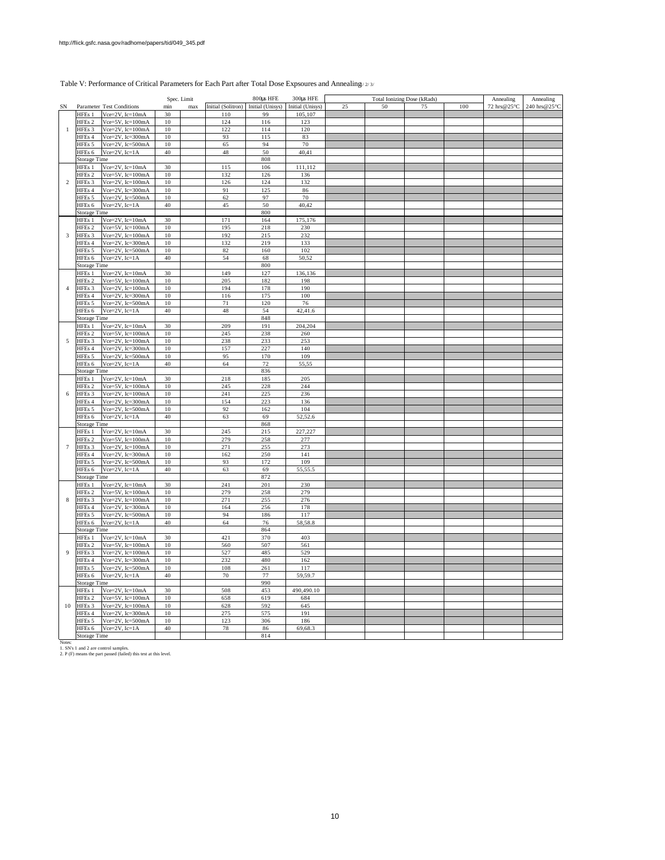#### Table V: Performance of Critical Parameters for Each Part after Total Dose Expsoures and Annealing  $/2/3/$

| Initial (Solitron)<br>Initial (Unisys) Initial (Unisys)<br>25<br>100<br>72 hrs@25°C<br>240 hrs@25°C<br>SN<br>Parameter Test Conditions<br>min<br>max<br>50<br>75<br>Vce=2V, Ic=10mA<br>105,107<br>HFEs 1<br>30<br>110<br>99<br>HFEs <sub>2</sub><br>Vce=5V, Ic=100mA<br>124<br>116<br>123<br>10<br>HFEs 3<br>Vce= $2V$ , Ic= $100mA$<br>10<br>122<br>114<br>120<br>$\mathbf{1}$<br>HFEs 4<br>Vce=2V, Ic=300mA<br>10<br>93<br>83<br>115<br>HFEs 5<br>Vce=2V, Ic=500mA<br>10<br>65<br>94<br>70<br>Vce=2V, Ic=1A<br>$40\,$<br>50<br>40,41<br>HFEs 6<br>48<br>808<br><b>Storage Time</b><br>Vce=2V, Ic=10mA<br>30<br>115<br>106<br>111,112<br>HFEs 1<br>Vce=5V, Ic=100mA<br>132<br>HFEs 2<br>10<br>126<br>136<br>Vce= $2V$ , Ic= $100mA$<br>HFEs 3<br>$10\,$<br>126<br>124<br>132<br>$\overline{2}$<br>Vce=2V, Ic=300mA<br>HFEs 4<br>$10\,$<br>91<br>125<br>86<br>Vce=2V, Ic=500mA<br>97<br>70<br>$10\,$<br>62<br>HFEs 5<br>$Vce = 2V$ , $Ic = 1A$<br>50<br>HFEs 6<br>40<br>45<br>40,42<br>800<br><b>Storage Time</b><br>30<br>171<br>Vce=2V, Ic=10mA<br>164<br>175,176<br>HFEs 1<br>Vce=5V, Ic=100mA<br>$10\,$<br>230<br>HFEs 2<br>195<br>218<br>Vce=2V, Ic=100mA<br>HFEs 3<br>10<br>192<br>215<br>232<br>3<br>Vce=2V, Ic=300mA<br>HFEs 4<br>10<br>132<br>219<br>133<br>Vce=2V, Ic=500mA<br>HFEs 5<br>10<br>82<br>160<br>102<br>HFEs 6<br>$Vce=2V$ , $Ic=1A$<br>40<br>54<br>68<br>50,52<br><b>Storage Time</b><br>800<br>30<br>Vce=2V, Ic=10mA<br>149<br>127<br>HFEs 1<br>136,136<br>HFEs 2<br>Vce= $5V$ , Ic= $100mA$<br>10<br>205<br>182<br>198<br>HFEs 3<br>$Vce=2V$ , $Ic=100mA$<br>10<br>194<br>178<br>190<br>$\overline{4}$<br>Vce=2V, Ic=300mA<br>$10\,$<br>116<br>175<br>100<br>HFEs 4<br>Vce=2V, Ic=500mA<br>10<br>71<br>120<br>76<br>HFEs 5<br>$Vce = 2V$ , $Ic = 1A$<br>$40\,$<br>$4\,$<br>54<br>42,41.6<br>HFEs 6<br>848<br><b>Storage Time</b><br>Vce=2V, Ic=10mA<br>30<br>209<br>191<br>204,204<br>HFEs 1<br>Vce=5V, Ic=100mA<br>$10\,$<br>245<br>238<br>HFEs <sub>2</sub><br>260<br>Vce= $2V$ , Ic= $100mA$<br>10<br>233<br>253<br>5<br>HFEs 3<br>238<br>$10\,$<br>157<br>227<br>140<br>HFEs 4<br>Vce=2V, Ic=300mA<br>95<br>HFEs 5<br>Vce=2V, Ic=500mA<br>10<br>170<br>109<br>HFEs <sub>6</sub><br>Vce= $2V$ , Ic= $1A$<br>$40\,$<br>64<br>72<br>55,55<br>836<br><b>Storage Time</b><br>HFEs 1<br>Vce=2V, Ic=10mA<br>30<br>218<br>185<br>205<br>HFEs <sub>2</sub><br>Vce=5V, Ic=100mA<br>10<br>245<br>228<br>244<br>HFEs 3<br>Vce= $2V$ , Ic= $100mA$<br>10<br>241<br>225<br>236<br>6<br>HFEs 4<br>Vce=2V, Ic=300mA<br>$10\,$<br>154<br>223<br>136<br>$10\,$<br>92<br>162<br>104<br>HFEs 5<br>Vce=2V, Ic=500mA<br>HFEs 6<br>$Vce = 2V$ , $Ic = 1A$<br>40<br>63<br>69<br>52,52.6<br>868<br>Storage Time<br>30<br>245<br>215<br>227,227<br>HFEs 1<br>Vce=2V, Ic=10mA<br>HFEs 2<br>$Vce=5V$ , $Ic=100mA$<br>10<br>279<br>258<br>277<br>Vce= $2V$ , Ic= $100mA$<br>271<br>255<br>273<br>$\tau$<br>HFEs 3<br>10<br>HFEs 4<br>Vce= $2V$ , Ic= $300$ mA<br>$10\,$<br>162<br>250<br>141<br>172<br>HFEs 5<br>Vce=2V, Ic=500mA<br>10<br>93<br>109<br>HFEs 6<br>$40\,$<br>63<br>69<br>55,55.5<br>$Vec=2V$ , $Ic=1A$<br>872<br><b>Storage Time</b><br>HFEs 1<br>Vce= $2V$ , Ic= $10mA$<br>30<br>241<br>201<br>230<br>279<br>HFEs 2<br>Vce= $5V$ , Ic= $100mA$<br>10<br>279<br>258<br>HFEs 3<br>$10\,$<br>8<br>$Vce=2V$ , $Ic=100mA$<br>271<br>255<br>276<br>$Vce=2V$ , $Ic=300mA$<br>10<br>256<br>HFEs 4<br>164<br>178<br>94<br>HFEs 5<br>Vce=2V, Ic=500mA<br>10<br>186<br>117<br>$40\,$<br>64<br>58,58.8<br>HFEs 6<br>$Vce=2V$ , $Ic=1A$<br>76<br>864<br>Storage Time<br>30<br>421<br>370<br>403<br>HFEs 1 Vce=2V, Ic=10mA<br>HFEs 2<br>$Vce=5V$ , $Ic=100mA$<br>10<br>560<br>507<br>561<br>$\overline{9}$<br>HFEs 3<br>$Vce = 2V$ , $Ic = 100mA$<br>10<br>527<br>485<br>529<br>$Vce=2V$ , $Ic=300mA$<br>10<br>232<br>480<br>162<br>HFEs 4<br>HFEs 5<br>Vce=2V, Ic=500mA<br>$10\,$<br>108<br>117<br>261<br>HFEs 6<br>Vce= $2V$ , Ic= $1A$<br>40<br>70<br>77<br>59,59.7<br>990<br><b>Storage Time</b><br>HFEs 1 Vce=2V, Ic=10mA<br>30<br>508<br>453<br>490,490.10<br>Vce=5V, Ic=100mA<br>HFEs 2<br>10<br>658<br>619<br>684<br>HFEs 3<br>Vce= $2V$ , Ic= $100mA$<br>$10\,$<br>628<br>592<br>645<br>10<br>Vce=2V, Ic=300mA<br>HFEs 4<br>10<br>275<br>575<br>191<br>Vce=2V, Ic=500mA<br>HFEs 5<br>10<br>123<br>306<br>186<br>Vce= $2V$ , Ic= $1A$<br>HFEs 6<br>40<br>78<br>86<br>69,68.3<br>814<br><b>Storage Time</b><br>Notes:<br>1. SN's 1 and 2 are control samples.<br>2. P (F) means the part passed (failed) this test at this level. |  |  | Spec. Limit | 800us HFE | 300us HFE | Total Ionizing Dose (kRads) |  | Annealing | Annealing |
|-------------------------------------------------------------------------------------------------------------------------------------------------------------------------------------------------------------------------------------------------------------------------------------------------------------------------------------------------------------------------------------------------------------------------------------------------------------------------------------------------------------------------------------------------------------------------------------------------------------------------------------------------------------------------------------------------------------------------------------------------------------------------------------------------------------------------------------------------------------------------------------------------------------------------------------------------------------------------------------------------------------------------------------------------------------------------------------------------------------------------------------------------------------------------------------------------------------------------------------------------------------------------------------------------------------------------------------------------------------------------------------------------------------------------------------------------------------------------------------------------------------------------------------------------------------------------------------------------------------------------------------------------------------------------------------------------------------------------------------------------------------------------------------------------------------------------------------------------------------------------------------------------------------------------------------------------------------------------------------------------------------------------------------------------------------------------------------------------------------------------------------------------------------------------------------------------------------------------------------------------------------------------------------------------------------------------------------------------------------------------------------------------------------------------------------------------------------------------------------------------------------------------------------------------------------------------------------------------------------------------------------------------------------------------------------------------------------------------------------------------------------------------------------------------------------------------------------------------------------------------------------------------------------------------------------------------------------------------------------------------------------------------------------------------------------------------------------------------------------------------------------------------------------------------------------------------------------------------------------------------------------------------------------------------------------------------------------------------------------------------------------------------------------------------------------------------------------------------------------------------------------------------------------------------------------------------------------------------------------------------------------------------------------------------------------------------------------------------------------------------------------------------------------------------------------------------------------------------------------------------------------------------------------------------------------------------------------------------------------------------------------------------------------------------------------------------------------------------------------------------------------------------------------------------------------------------------------------------------------------------------------------------------------------------------------------------------------------------------------------------------------------------------------------------------------------------------------------------------------------------------------------------------------------|--|--|-------------|-----------|-----------|-----------------------------|--|-----------|-----------|
|                                                                                                                                                                                                                                                                                                                                                                                                                                                                                                                                                                                                                                                                                                                                                                                                                                                                                                                                                                                                                                                                                                                                                                                                                                                                                                                                                                                                                                                                                                                                                                                                                                                                                                                                                                                                                                                                                                                                                                                                                                                                                                                                                                                                                                                                                                                                                                                                                                                                                                                                                                                                                                                                                                                                                                                                                                                                                                                                                                                                                                                                                                                                                                                                                                                                                                                                                                                                                                                                                                                                                                                                                                                                                                                                                                                                                                                                                                                                                                                                                                                                                                                                                                                                                                                                                                                                                                                                                                                                                                                                           |  |  |             |           |           |                             |  |           |           |
|                                                                                                                                                                                                                                                                                                                                                                                                                                                                                                                                                                                                                                                                                                                                                                                                                                                                                                                                                                                                                                                                                                                                                                                                                                                                                                                                                                                                                                                                                                                                                                                                                                                                                                                                                                                                                                                                                                                                                                                                                                                                                                                                                                                                                                                                                                                                                                                                                                                                                                                                                                                                                                                                                                                                                                                                                                                                                                                                                                                                                                                                                                                                                                                                                                                                                                                                                                                                                                                                                                                                                                                                                                                                                                                                                                                                                                                                                                                                                                                                                                                                                                                                                                                                                                                                                                                                                                                                                                                                                                                                           |  |  |             |           |           |                             |  |           |           |
|                                                                                                                                                                                                                                                                                                                                                                                                                                                                                                                                                                                                                                                                                                                                                                                                                                                                                                                                                                                                                                                                                                                                                                                                                                                                                                                                                                                                                                                                                                                                                                                                                                                                                                                                                                                                                                                                                                                                                                                                                                                                                                                                                                                                                                                                                                                                                                                                                                                                                                                                                                                                                                                                                                                                                                                                                                                                                                                                                                                                                                                                                                                                                                                                                                                                                                                                                                                                                                                                                                                                                                                                                                                                                                                                                                                                                                                                                                                                                                                                                                                                                                                                                                                                                                                                                                                                                                                                                                                                                                                                           |  |  |             |           |           |                             |  |           |           |
|                                                                                                                                                                                                                                                                                                                                                                                                                                                                                                                                                                                                                                                                                                                                                                                                                                                                                                                                                                                                                                                                                                                                                                                                                                                                                                                                                                                                                                                                                                                                                                                                                                                                                                                                                                                                                                                                                                                                                                                                                                                                                                                                                                                                                                                                                                                                                                                                                                                                                                                                                                                                                                                                                                                                                                                                                                                                                                                                                                                                                                                                                                                                                                                                                                                                                                                                                                                                                                                                                                                                                                                                                                                                                                                                                                                                                                                                                                                                                                                                                                                                                                                                                                                                                                                                                                                                                                                                                                                                                                                                           |  |  |             |           |           |                             |  |           |           |
|                                                                                                                                                                                                                                                                                                                                                                                                                                                                                                                                                                                                                                                                                                                                                                                                                                                                                                                                                                                                                                                                                                                                                                                                                                                                                                                                                                                                                                                                                                                                                                                                                                                                                                                                                                                                                                                                                                                                                                                                                                                                                                                                                                                                                                                                                                                                                                                                                                                                                                                                                                                                                                                                                                                                                                                                                                                                                                                                                                                                                                                                                                                                                                                                                                                                                                                                                                                                                                                                                                                                                                                                                                                                                                                                                                                                                                                                                                                                                                                                                                                                                                                                                                                                                                                                                                                                                                                                                                                                                                                                           |  |  |             |           |           |                             |  |           |           |
|                                                                                                                                                                                                                                                                                                                                                                                                                                                                                                                                                                                                                                                                                                                                                                                                                                                                                                                                                                                                                                                                                                                                                                                                                                                                                                                                                                                                                                                                                                                                                                                                                                                                                                                                                                                                                                                                                                                                                                                                                                                                                                                                                                                                                                                                                                                                                                                                                                                                                                                                                                                                                                                                                                                                                                                                                                                                                                                                                                                                                                                                                                                                                                                                                                                                                                                                                                                                                                                                                                                                                                                                                                                                                                                                                                                                                                                                                                                                                                                                                                                                                                                                                                                                                                                                                                                                                                                                                                                                                                                                           |  |  |             |           |           |                             |  |           |           |
|                                                                                                                                                                                                                                                                                                                                                                                                                                                                                                                                                                                                                                                                                                                                                                                                                                                                                                                                                                                                                                                                                                                                                                                                                                                                                                                                                                                                                                                                                                                                                                                                                                                                                                                                                                                                                                                                                                                                                                                                                                                                                                                                                                                                                                                                                                                                                                                                                                                                                                                                                                                                                                                                                                                                                                                                                                                                                                                                                                                                                                                                                                                                                                                                                                                                                                                                                                                                                                                                                                                                                                                                                                                                                                                                                                                                                                                                                                                                                                                                                                                                                                                                                                                                                                                                                                                                                                                                                                                                                                                                           |  |  |             |           |           |                             |  |           |           |
|                                                                                                                                                                                                                                                                                                                                                                                                                                                                                                                                                                                                                                                                                                                                                                                                                                                                                                                                                                                                                                                                                                                                                                                                                                                                                                                                                                                                                                                                                                                                                                                                                                                                                                                                                                                                                                                                                                                                                                                                                                                                                                                                                                                                                                                                                                                                                                                                                                                                                                                                                                                                                                                                                                                                                                                                                                                                                                                                                                                                                                                                                                                                                                                                                                                                                                                                                                                                                                                                                                                                                                                                                                                                                                                                                                                                                                                                                                                                                                                                                                                                                                                                                                                                                                                                                                                                                                                                                                                                                                                                           |  |  |             |           |           |                             |  |           |           |
|                                                                                                                                                                                                                                                                                                                                                                                                                                                                                                                                                                                                                                                                                                                                                                                                                                                                                                                                                                                                                                                                                                                                                                                                                                                                                                                                                                                                                                                                                                                                                                                                                                                                                                                                                                                                                                                                                                                                                                                                                                                                                                                                                                                                                                                                                                                                                                                                                                                                                                                                                                                                                                                                                                                                                                                                                                                                                                                                                                                                                                                                                                                                                                                                                                                                                                                                                                                                                                                                                                                                                                                                                                                                                                                                                                                                                                                                                                                                                                                                                                                                                                                                                                                                                                                                                                                                                                                                                                                                                                                                           |  |  |             |           |           |                             |  |           |           |
|                                                                                                                                                                                                                                                                                                                                                                                                                                                                                                                                                                                                                                                                                                                                                                                                                                                                                                                                                                                                                                                                                                                                                                                                                                                                                                                                                                                                                                                                                                                                                                                                                                                                                                                                                                                                                                                                                                                                                                                                                                                                                                                                                                                                                                                                                                                                                                                                                                                                                                                                                                                                                                                                                                                                                                                                                                                                                                                                                                                                                                                                                                                                                                                                                                                                                                                                                                                                                                                                                                                                                                                                                                                                                                                                                                                                                                                                                                                                                                                                                                                                                                                                                                                                                                                                                                                                                                                                                                                                                                                                           |  |  |             |           |           |                             |  |           |           |
|                                                                                                                                                                                                                                                                                                                                                                                                                                                                                                                                                                                                                                                                                                                                                                                                                                                                                                                                                                                                                                                                                                                                                                                                                                                                                                                                                                                                                                                                                                                                                                                                                                                                                                                                                                                                                                                                                                                                                                                                                                                                                                                                                                                                                                                                                                                                                                                                                                                                                                                                                                                                                                                                                                                                                                                                                                                                                                                                                                                                                                                                                                                                                                                                                                                                                                                                                                                                                                                                                                                                                                                                                                                                                                                                                                                                                                                                                                                                                                                                                                                                                                                                                                                                                                                                                                                                                                                                                                                                                                                                           |  |  |             |           |           |                             |  |           |           |
|                                                                                                                                                                                                                                                                                                                                                                                                                                                                                                                                                                                                                                                                                                                                                                                                                                                                                                                                                                                                                                                                                                                                                                                                                                                                                                                                                                                                                                                                                                                                                                                                                                                                                                                                                                                                                                                                                                                                                                                                                                                                                                                                                                                                                                                                                                                                                                                                                                                                                                                                                                                                                                                                                                                                                                                                                                                                                                                                                                                                                                                                                                                                                                                                                                                                                                                                                                                                                                                                                                                                                                                                                                                                                                                                                                                                                                                                                                                                                                                                                                                                                                                                                                                                                                                                                                                                                                                                                                                                                                                                           |  |  |             |           |           |                             |  |           |           |
|                                                                                                                                                                                                                                                                                                                                                                                                                                                                                                                                                                                                                                                                                                                                                                                                                                                                                                                                                                                                                                                                                                                                                                                                                                                                                                                                                                                                                                                                                                                                                                                                                                                                                                                                                                                                                                                                                                                                                                                                                                                                                                                                                                                                                                                                                                                                                                                                                                                                                                                                                                                                                                                                                                                                                                                                                                                                                                                                                                                                                                                                                                                                                                                                                                                                                                                                                                                                                                                                                                                                                                                                                                                                                                                                                                                                                                                                                                                                                                                                                                                                                                                                                                                                                                                                                                                                                                                                                                                                                                                                           |  |  |             |           |           |                             |  |           |           |
|                                                                                                                                                                                                                                                                                                                                                                                                                                                                                                                                                                                                                                                                                                                                                                                                                                                                                                                                                                                                                                                                                                                                                                                                                                                                                                                                                                                                                                                                                                                                                                                                                                                                                                                                                                                                                                                                                                                                                                                                                                                                                                                                                                                                                                                                                                                                                                                                                                                                                                                                                                                                                                                                                                                                                                                                                                                                                                                                                                                                                                                                                                                                                                                                                                                                                                                                                                                                                                                                                                                                                                                                                                                                                                                                                                                                                                                                                                                                                                                                                                                                                                                                                                                                                                                                                                                                                                                                                                                                                                                                           |  |  |             |           |           |                             |  |           |           |
|                                                                                                                                                                                                                                                                                                                                                                                                                                                                                                                                                                                                                                                                                                                                                                                                                                                                                                                                                                                                                                                                                                                                                                                                                                                                                                                                                                                                                                                                                                                                                                                                                                                                                                                                                                                                                                                                                                                                                                                                                                                                                                                                                                                                                                                                                                                                                                                                                                                                                                                                                                                                                                                                                                                                                                                                                                                                                                                                                                                                                                                                                                                                                                                                                                                                                                                                                                                                                                                                                                                                                                                                                                                                                                                                                                                                                                                                                                                                                                                                                                                                                                                                                                                                                                                                                                                                                                                                                                                                                                                                           |  |  |             |           |           |                             |  |           |           |
|                                                                                                                                                                                                                                                                                                                                                                                                                                                                                                                                                                                                                                                                                                                                                                                                                                                                                                                                                                                                                                                                                                                                                                                                                                                                                                                                                                                                                                                                                                                                                                                                                                                                                                                                                                                                                                                                                                                                                                                                                                                                                                                                                                                                                                                                                                                                                                                                                                                                                                                                                                                                                                                                                                                                                                                                                                                                                                                                                                                                                                                                                                                                                                                                                                                                                                                                                                                                                                                                                                                                                                                                                                                                                                                                                                                                                                                                                                                                                                                                                                                                                                                                                                                                                                                                                                                                                                                                                                                                                                                                           |  |  |             |           |           |                             |  |           |           |
|                                                                                                                                                                                                                                                                                                                                                                                                                                                                                                                                                                                                                                                                                                                                                                                                                                                                                                                                                                                                                                                                                                                                                                                                                                                                                                                                                                                                                                                                                                                                                                                                                                                                                                                                                                                                                                                                                                                                                                                                                                                                                                                                                                                                                                                                                                                                                                                                                                                                                                                                                                                                                                                                                                                                                                                                                                                                                                                                                                                                                                                                                                                                                                                                                                                                                                                                                                                                                                                                                                                                                                                                                                                                                                                                                                                                                                                                                                                                                                                                                                                                                                                                                                                                                                                                                                                                                                                                                                                                                                                                           |  |  |             |           |           |                             |  |           |           |
|                                                                                                                                                                                                                                                                                                                                                                                                                                                                                                                                                                                                                                                                                                                                                                                                                                                                                                                                                                                                                                                                                                                                                                                                                                                                                                                                                                                                                                                                                                                                                                                                                                                                                                                                                                                                                                                                                                                                                                                                                                                                                                                                                                                                                                                                                                                                                                                                                                                                                                                                                                                                                                                                                                                                                                                                                                                                                                                                                                                                                                                                                                                                                                                                                                                                                                                                                                                                                                                                                                                                                                                                                                                                                                                                                                                                                                                                                                                                                                                                                                                                                                                                                                                                                                                                                                                                                                                                                                                                                                                                           |  |  |             |           |           |                             |  |           |           |
|                                                                                                                                                                                                                                                                                                                                                                                                                                                                                                                                                                                                                                                                                                                                                                                                                                                                                                                                                                                                                                                                                                                                                                                                                                                                                                                                                                                                                                                                                                                                                                                                                                                                                                                                                                                                                                                                                                                                                                                                                                                                                                                                                                                                                                                                                                                                                                                                                                                                                                                                                                                                                                                                                                                                                                                                                                                                                                                                                                                                                                                                                                                                                                                                                                                                                                                                                                                                                                                                                                                                                                                                                                                                                                                                                                                                                                                                                                                                                                                                                                                                                                                                                                                                                                                                                                                                                                                                                                                                                                                                           |  |  |             |           |           |                             |  |           |           |
|                                                                                                                                                                                                                                                                                                                                                                                                                                                                                                                                                                                                                                                                                                                                                                                                                                                                                                                                                                                                                                                                                                                                                                                                                                                                                                                                                                                                                                                                                                                                                                                                                                                                                                                                                                                                                                                                                                                                                                                                                                                                                                                                                                                                                                                                                                                                                                                                                                                                                                                                                                                                                                                                                                                                                                                                                                                                                                                                                                                                                                                                                                                                                                                                                                                                                                                                                                                                                                                                                                                                                                                                                                                                                                                                                                                                                                                                                                                                                                                                                                                                                                                                                                                                                                                                                                                                                                                                                                                                                                                                           |  |  |             |           |           |                             |  |           |           |
|                                                                                                                                                                                                                                                                                                                                                                                                                                                                                                                                                                                                                                                                                                                                                                                                                                                                                                                                                                                                                                                                                                                                                                                                                                                                                                                                                                                                                                                                                                                                                                                                                                                                                                                                                                                                                                                                                                                                                                                                                                                                                                                                                                                                                                                                                                                                                                                                                                                                                                                                                                                                                                                                                                                                                                                                                                                                                                                                                                                                                                                                                                                                                                                                                                                                                                                                                                                                                                                                                                                                                                                                                                                                                                                                                                                                                                                                                                                                                                                                                                                                                                                                                                                                                                                                                                                                                                                                                                                                                                                                           |  |  |             |           |           |                             |  |           |           |
|                                                                                                                                                                                                                                                                                                                                                                                                                                                                                                                                                                                                                                                                                                                                                                                                                                                                                                                                                                                                                                                                                                                                                                                                                                                                                                                                                                                                                                                                                                                                                                                                                                                                                                                                                                                                                                                                                                                                                                                                                                                                                                                                                                                                                                                                                                                                                                                                                                                                                                                                                                                                                                                                                                                                                                                                                                                                                                                                                                                                                                                                                                                                                                                                                                                                                                                                                                                                                                                                                                                                                                                                                                                                                                                                                                                                                                                                                                                                                                                                                                                                                                                                                                                                                                                                                                                                                                                                                                                                                                                                           |  |  |             |           |           |                             |  |           |           |
|                                                                                                                                                                                                                                                                                                                                                                                                                                                                                                                                                                                                                                                                                                                                                                                                                                                                                                                                                                                                                                                                                                                                                                                                                                                                                                                                                                                                                                                                                                                                                                                                                                                                                                                                                                                                                                                                                                                                                                                                                                                                                                                                                                                                                                                                                                                                                                                                                                                                                                                                                                                                                                                                                                                                                                                                                                                                                                                                                                                                                                                                                                                                                                                                                                                                                                                                                                                                                                                                                                                                                                                                                                                                                                                                                                                                                                                                                                                                                                                                                                                                                                                                                                                                                                                                                                                                                                                                                                                                                                                                           |  |  |             |           |           |                             |  |           |           |
|                                                                                                                                                                                                                                                                                                                                                                                                                                                                                                                                                                                                                                                                                                                                                                                                                                                                                                                                                                                                                                                                                                                                                                                                                                                                                                                                                                                                                                                                                                                                                                                                                                                                                                                                                                                                                                                                                                                                                                                                                                                                                                                                                                                                                                                                                                                                                                                                                                                                                                                                                                                                                                                                                                                                                                                                                                                                                                                                                                                                                                                                                                                                                                                                                                                                                                                                                                                                                                                                                                                                                                                                                                                                                                                                                                                                                                                                                                                                                                                                                                                                                                                                                                                                                                                                                                                                                                                                                                                                                                                                           |  |  |             |           |           |                             |  |           |           |
|                                                                                                                                                                                                                                                                                                                                                                                                                                                                                                                                                                                                                                                                                                                                                                                                                                                                                                                                                                                                                                                                                                                                                                                                                                                                                                                                                                                                                                                                                                                                                                                                                                                                                                                                                                                                                                                                                                                                                                                                                                                                                                                                                                                                                                                                                                                                                                                                                                                                                                                                                                                                                                                                                                                                                                                                                                                                                                                                                                                                                                                                                                                                                                                                                                                                                                                                                                                                                                                                                                                                                                                                                                                                                                                                                                                                                                                                                                                                                                                                                                                                                                                                                                                                                                                                                                                                                                                                                                                                                                                                           |  |  |             |           |           |                             |  |           |           |
|                                                                                                                                                                                                                                                                                                                                                                                                                                                                                                                                                                                                                                                                                                                                                                                                                                                                                                                                                                                                                                                                                                                                                                                                                                                                                                                                                                                                                                                                                                                                                                                                                                                                                                                                                                                                                                                                                                                                                                                                                                                                                                                                                                                                                                                                                                                                                                                                                                                                                                                                                                                                                                                                                                                                                                                                                                                                                                                                                                                                                                                                                                                                                                                                                                                                                                                                                                                                                                                                                                                                                                                                                                                                                                                                                                                                                                                                                                                                                                                                                                                                                                                                                                                                                                                                                                                                                                                                                                                                                                                                           |  |  |             |           |           |                             |  |           |           |
|                                                                                                                                                                                                                                                                                                                                                                                                                                                                                                                                                                                                                                                                                                                                                                                                                                                                                                                                                                                                                                                                                                                                                                                                                                                                                                                                                                                                                                                                                                                                                                                                                                                                                                                                                                                                                                                                                                                                                                                                                                                                                                                                                                                                                                                                                                                                                                                                                                                                                                                                                                                                                                                                                                                                                                                                                                                                                                                                                                                                                                                                                                                                                                                                                                                                                                                                                                                                                                                                                                                                                                                                                                                                                                                                                                                                                                                                                                                                                                                                                                                                                                                                                                                                                                                                                                                                                                                                                                                                                                                                           |  |  |             |           |           |                             |  |           |           |
|                                                                                                                                                                                                                                                                                                                                                                                                                                                                                                                                                                                                                                                                                                                                                                                                                                                                                                                                                                                                                                                                                                                                                                                                                                                                                                                                                                                                                                                                                                                                                                                                                                                                                                                                                                                                                                                                                                                                                                                                                                                                                                                                                                                                                                                                                                                                                                                                                                                                                                                                                                                                                                                                                                                                                                                                                                                                                                                                                                                                                                                                                                                                                                                                                                                                                                                                                                                                                                                                                                                                                                                                                                                                                                                                                                                                                                                                                                                                                                                                                                                                                                                                                                                                                                                                                                                                                                                                                                                                                                                                           |  |  |             |           |           |                             |  |           |           |
|                                                                                                                                                                                                                                                                                                                                                                                                                                                                                                                                                                                                                                                                                                                                                                                                                                                                                                                                                                                                                                                                                                                                                                                                                                                                                                                                                                                                                                                                                                                                                                                                                                                                                                                                                                                                                                                                                                                                                                                                                                                                                                                                                                                                                                                                                                                                                                                                                                                                                                                                                                                                                                                                                                                                                                                                                                                                                                                                                                                                                                                                                                                                                                                                                                                                                                                                                                                                                                                                                                                                                                                                                                                                                                                                                                                                                                                                                                                                                                                                                                                                                                                                                                                                                                                                                                                                                                                                                                                                                                                                           |  |  |             |           |           |                             |  |           |           |
|                                                                                                                                                                                                                                                                                                                                                                                                                                                                                                                                                                                                                                                                                                                                                                                                                                                                                                                                                                                                                                                                                                                                                                                                                                                                                                                                                                                                                                                                                                                                                                                                                                                                                                                                                                                                                                                                                                                                                                                                                                                                                                                                                                                                                                                                                                                                                                                                                                                                                                                                                                                                                                                                                                                                                                                                                                                                                                                                                                                                                                                                                                                                                                                                                                                                                                                                                                                                                                                                                                                                                                                                                                                                                                                                                                                                                                                                                                                                                                                                                                                                                                                                                                                                                                                                                                                                                                                                                                                                                                                                           |  |  |             |           |           |                             |  |           |           |
|                                                                                                                                                                                                                                                                                                                                                                                                                                                                                                                                                                                                                                                                                                                                                                                                                                                                                                                                                                                                                                                                                                                                                                                                                                                                                                                                                                                                                                                                                                                                                                                                                                                                                                                                                                                                                                                                                                                                                                                                                                                                                                                                                                                                                                                                                                                                                                                                                                                                                                                                                                                                                                                                                                                                                                                                                                                                                                                                                                                                                                                                                                                                                                                                                                                                                                                                                                                                                                                                                                                                                                                                                                                                                                                                                                                                                                                                                                                                                                                                                                                                                                                                                                                                                                                                                                                                                                                                                                                                                                                                           |  |  |             |           |           |                             |  |           |           |
|                                                                                                                                                                                                                                                                                                                                                                                                                                                                                                                                                                                                                                                                                                                                                                                                                                                                                                                                                                                                                                                                                                                                                                                                                                                                                                                                                                                                                                                                                                                                                                                                                                                                                                                                                                                                                                                                                                                                                                                                                                                                                                                                                                                                                                                                                                                                                                                                                                                                                                                                                                                                                                                                                                                                                                                                                                                                                                                                                                                                                                                                                                                                                                                                                                                                                                                                                                                                                                                                                                                                                                                                                                                                                                                                                                                                                                                                                                                                                                                                                                                                                                                                                                                                                                                                                                                                                                                                                                                                                                                                           |  |  |             |           |           |                             |  |           |           |
|                                                                                                                                                                                                                                                                                                                                                                                                                                                                                                                                                                                                                                                                                                                                                                                                                                                                                                                                                                                                                                                                                                                                                                                                                                                                                                                                                                                                                                                                                                                                                                                                                                                                                                                                                                                                                                                                                                                                                                                                                                                                                                                                                                                                                                                                                                                                                                                                                                                                                                                                                                                                                                                                                                                                                                                                                                                                                                                                                                                                                                                                                                                                                                                                                                                                                                                                                                                                                                                                                                                                                                                                                                                                                                                                                                                                                                                                                                                                                                                                                                                                                                                                                                                                                                                                                                                                                                                                                                                                                                                                           |  |  |             |           |           |                             |  |           |           |
|                                                                                                                                                                                                                                                                                                                                                                                                                                                                                                                                                                                                                                                                                                                                                                                                                                                                                                                                                                                                                                                                                                                                                                                                                                                                                                                                                                                                                                                                                                                                                                                                                                                                                                                                                                                                                                                                                                                                                                                                                                                                                                                                                                                                                                                                                                                                                                                                                                                                                                                                                                                                                                                                                                                                                                                                                                                                                                                                                                                                                                                                                                                                                                                                                                                                                                                                                                                                                                                                                                                                                                                                                                                                                                                                                                                                                                                                                                                                                                                                                                                                                                                                                                                                                                                                                                                                                                                                                                                                                                                                           |  |  |             |           |           |                             |  |           |           |
|                                                                                                                                                                                                                                                                                                                                                                                                                                                                                                                                                                                                                                                                                                                                                                                                                                                                                                                                                                                                                                                                                                                                                                                                                                                                                                                                                                                                                                                                                                                                                                                                                                                                                                                                                                                                                                                                                                                                                                                                                                                                                                                                                                                                                                                                                                                                                                                                                                                                                                                                                                                                                                                                                                                                                                                                                                                                                                                                                                                                                                                                                                                                                                                                                                                                                                                                                                                                                                                                                                                                                                                                                                                                                                                                                                                                                                                                                                                                                                                                                                                                                                                                                                                                                                                                                                                                                                                                                                                                                                                                           |  |  |             |           |           |                             |  |           |           |
|                                                                                                                                                                                                                                                                                                                                                                                                                                                                                                                                                                                                                                                                                                                                                                                                                                                                                                                                                                                                                                                                                                                                                                                                                                                                                                                                                                                                                                                                                                                                                                                                                                                                                                                                                                                                                                                                                                                                                                                                                                                                                                                                                                                                                                                                                                                                                                                                                                                                                                                                                                                                                                                                                                                                                                                                                                                                                                                                                                                                                                                                                                                                                                                                                                                                                                                                                                                                                                                                                                                                                                                                                                                                                                                                                                                                                                                                                                                                                                                                                                                                                                                                                                                                                                                                                                                                                                                                                                                                                                                                           |  |  |             |           |           |                             |  |           |           |
|                                                                                                                                                                                                                                                                                                                                                                                                                                                                                                                                                                                                                                                                                                                                                                                                                                                                                                                                                                                                                                                                                                                                                                                                                                                                                                                                                                                                                                                                                                                                                                                                                                                                                                                                                                                                                                                                                                                                                                                                                                                                                                                                                                                                                                                                                                                                                                                                                                                                                                                                                                                                                                                                                                                                                                                                                                                                                                                                                                                                                                                                                                                                                                                                                                                                                                                                                                                                                                                                                                                                                                                                                                                                                                                                                                                                                                                                                                                                                                                                                                                                                                                                                                                                                                                                                                                                                                                                                                                                                                                                           |  |  |             |           |           |                             |  |           |           |
|                                                                                                                                                                                                                                                                                                                                                                                                                                                                                                                                                                                                                                                                                                                                                                                                                                                                                                                                                                                                                                                                                                                                                                                                                                                                                                                                                                                                                                                                                                                                                                                                                                                                                                                                                                                                                                                                                                                                                                                                                                                                                                                                                                                                                                                                                                                                                                                                                                                                                                                                                                                                                                                                                                                                                                                                                                                                                                                                                                                                                                                                                                                                                                                                                                                                                                                                                                                                                                                                                                                                                                                                                                                                                                                                                                                                                                                                                                                                                                                                                                                                                                                                                                                                                                                                                                                                                                                                                                                                                                                                           |  |  |             |           |           |                             |  |           |           |
|                                                                                                                                                                                                                                                                                                                                                                                                                                                                                                                                                                                                                                                                                                                                                                                                                                                                                                                                                                                                                                                                                                                                                                                                                                                                                                                                                                                                                                                                                                                                                                                                                                                                                                                                                                                                                                                                                                                                                                                                                                                                                                                                                                                                                                                                                                                                                                                                                                                                                                                                                                                                                                                                                                                                                                                                                                                                                                                                                                                                                                                                                                                                                                                                                                                                                                                                                                                                                                                                                                                                                                                                                                                                                                                                                                                                                                                                                                                                                                                                                                                                                                                                                                                                                                                                                                                                                                                                                                                                                                                                           |  |  |             |           |           |                             |  |           |           |
|                                                                                                                                                                                                                                                                                                                                                                                                                                                                                                                                                                                                                                                                                                                                                                                                                                                                                                                                                                                                                                                                                                                                                                                                                                                                                                                                                                                                                                                                                                                                                                                                                                                                                                                                                                                                                                                                                                                                                                                                                                                                                                                                                                                                                                                                                                                                                                                                                                                                                                                                                                                                                                                                                                                                                                                                                                                                                                                                                                                                                                                                                                                                                                                                                                                                                                                                                                                                                                                                                                                                                                                                                                                                                                                                                                                                                                                                                                                                                                                                                                                                                                                                                                                                                                                                                                                                                                                                                                                                                                                                           |  |  |             |           |           |                             |  |           |           |
|                                                                                                                                                                                                                                                                                                                                                                                                                                                                                                                                                                                                                                                                                                                                                                                                                                                                                                                                                                                                                                                                                                                                                                                                                                                                                                                                                                                                                                                                                                                                                                                                                                                                                                                                                                                                                                                                                                                                                                                                                                                                                                                                                                                                                                                                                                                                                                                                                                                                                                                                                                                                                                                                                                                                                                                                                                                                                                                                                                                                                                                                                                                                                                                                                                                                                                                                                                                                                                                                                                                                                                                                                                                                                                                                                                                                                                                                                                                                                                                                                                                                                                                                                                                                                                                                                                                                                                                                                                                                                                                                           |  |  |             |           |           |                             |  |           |           |
|                                                                                                                                                                                                                                                                                                                                                                                                                                                                                                                                                                                                                                                                                                                                                                                                                                                                                                                                                                                                                                                                                                                                                                                                                                                                                                                                                                                                                                                                                                                                                                                                                                                                                                                                                                                                                                                                                                                                                                                                                                                                                                                                                                                                                                                                                                                                                                                                                                                                                                                                                                                                                                                                                                                                                                                                                                                                                                                                                                                                                                                                                                                                                                                                                                                                                                                                                                                                                                                                                                                                                                                                                                                                                                                                                                                                                                                                                                                                                                                                                                                                                                                                                                                                                                                                                                                                                                                                                                                                                                                                           |  |  |             |           |           |                             |  |           |           |
|                                                                                                                                                                                                                                                                                                                                                                                                                                                                                                                                                                                                                                                                                                                                                                                                                                                                                                                                                                                                                                                                                                                                                                                                                                                                                                                                                                                                                                                                                                                                                                                                                                                                                                                                                                                                                                                                                                                                                                                                                                                                                                                                                                                                                                                                                                                                                                                                                                                                                                                                                                                                                                                                                                                                                                                                                                                                                                                                                                                                                                                                                                                                                                                                                                                                                                                                                                                                                                                                                                                                                                                                                                                                                                                                                                                                                                                                                                                                                                                                                                                                                                                                                                                                                                                                                                                                                                                                                                                                                                                                           |  |  |             |           |           |                             |  |           |           |
|                                                                                                                                                                                                                                                                                                                                                                                                                                                                                                                                                                                                                                                                                                                                                                                                                                                                                                                                                                                                                                                                                                                                                                                                                                                                                                                                                                                                                                                                                                                                                                                                                                                                                                                                                                                                                                                                                                                                                                                                                                                                                                                                                                                                                                                                                                                                                                                                                                                                                                                                                                                                                                                                                                                                                                                                                                                                                                                                                                                                                                                                                                                                                                                                                                                                                                                                                                                                                                                                                                                                                                                                                                                                                                                                                                                                                                                                                                                                                                                                                                                                                                                                                                                                                                                                                                                                                                                                                                                                                                                                           |  |  |             |           |           |                             |  |           |           |
|                                                                                                                                                                                                                                                                                                                                                                                                                                                                                                                                                                                                                                                                                                                                                                                                                                                                                                                                                                                                                                                                                                                                                                                                                                                                                                                                                                                                                                                                                                                                                                                                                                                                                                                                                                                                                                                                                                                                                                                                                                                                                                                                                                                                                                                                                                                                                                                                                                                                                                                                                                                                                                                                                                                                                                                                                                                                                                                                                                                                                                                                                                                                                                                                                                                                                                                                                                                                                                                                                                                                                                                                                                                                                                                                                                                                                                                                                                                                                                                                                                                                                                                                                                                                                                                                                                                                                                                                                                                                                                                                           |  |  |             |           |           |                             |  |           |           |
|                                                                                                                                                                                                                                                                                                                                                                                                                                                                                                                                                                                                                                                                                                                                                                                                                                                                                                                                                                                                                                                                                                                                                                                                                                                                                                                                                                                                                                                                                                                                                                                                                                                                                                                                                                                                                                                                                                                                                                                                                                                                                                                                                                                                                                                                                                                                                                                                                                                                                                                                                                                                                                                                                                                                                                                                                                                                                                                                                                                                                                                                                                                                                                                                                                                                                                                                                                                                                                                                                                                                                                                                                                                                                                                                                                                                                                                                                                                                                                                                                                                                                                                                                                                                                                                                                                                                                                                                                                                                                                                                           |  |  |             |           |           |                             |  |           |           |
|                                                                                                                                                                                                                                                                                                                                                                                                                                                                                                                                                                                                                                                                                                                                                                                                                                                                                                                                                                                                                                                                                                                                                                                                                                                                                                                                                                                                                                                                                                                                                                                                                                                                                                                                                                                                                                                                                                                                                                                                                                                                                                                                                                                                                                                                                                                                                                                                                                                                                                                                                                                                                                                                                                                                                                                                                                                                                                                                                                                                                                                                                                                                                                                                                                                                                                                                                                                                                                                                                                                                                                                                                                                                                                                                                                                                                                                                                                                                                                                                                                                                                                                                                                                                                                                                                                                                                                                                                                                                                                                                           |  |  |             |           |           |                             |  |           |           |
|                                                                                                                                                                                                                                                                                                                                                                                                                                                                                                                                                                                                                                                                                                                                                                                                                                                                                                                                                                                                                                                                                                                                                                                                                                                                                                                                                                                                                                                                                                                                                                                                                                                                                                                                                                                                                                                                                                                                                                                                                                                                                                                                                                                                                                                                                                                                                                                                                                                                                                                                                                                                                                                                                                                                                                                                                                                                                                                                                                                                                                                                                                                                                                                                                                                                                                                                                                                                                                                                                                                                                                                                                                                                                                                                                                                                                                                                                                                                                                                                                                                                                                                                                                                                                                                                                                                                                                                                                                                                                                                                           |  |  |             |           |           |                             |  |           |           |
|                                                                                                                                                                                                                                                                                                                                                                                                                                                                                                                                                                                                                                                                                                                                                                                                                                                                                                                                                                                                                                                                                                                                                                                                                                                                                                                                                                                                                                                                                                                                                                                                                                                                                                                                                                                                                                                                                                                                                                                                                                                                                                                                                                                                                                                                                                                                                                                                                                                                                                                                                                                                                                                                                                                                                                                                                                                                                                                                                                                                                                                                                                                                                                                                                                                                                                                                                                                                                                                                                                                                                                                                                                                                                                                                                                                                                                                                                                                                                                                                                                                                                                                                                                                                                                                                                                                                                                                                                                                                                                                                           |  |  |             |           |           |                             |  |           |           |
|                                                                                                                                                                                                                                                                                                                                                                                                                                                                                                                                                                                                                                                                                                                                                                                                                                                                                                                                                                                                                                                                                                                                                                                                                                                                                                                                                                                                                                                                                                                                                                                                                                                                                                                                                                                                                                                                                                                                                                                                                                                                                                                                                                                                                                                                                                                                                                                                                                                                                                                                                                                                                                                                                                                                                                                                                                                                                                                                                                                                                                                                                                                                                                                                                                                                                                                                                                                                                                                                                                                                                                                                                                                                                                                                                                                                                                                                                                                                                                                                                                                                                                                                                                                                                                                                                                                                                                                                                                                                                                                                           |  |  |             |           |           |                             |  |           |           |
|                                                                                                                                                                                                                                                                                                                                                                                                                                                                                                                                                                                                                                                                                                                                                                                                                                                                                                                                                                                                                                                                                                                                                                                                                                                                                                                                                                                                                                                                                                                                                                                                                                                                                                                                                                                                                                                                                                                                                                                                                                                                                                                                                                                                                                                                                                                                                                                                                                                                                                                                                                                                                                                                                                                                                                                                                                                                                                                                                                                                                                                                                                                                                                                                                                                                                                                                                                                                                                                                                                                                                                                                                                                                                                                                                                                                                                                                                                                                                                                                                                                                                                                                                                                                                                                                                                                                                                                                                                                                                                                                           |  |  |             |           |           |                             |  |           |           |
|                                                                                                                                                                                                                                                                                                                                                                                                                                                                                                                                                                                                                                                                                                                                                                                                                                                                                                                                                                                                                                                                                                                                                                                                                                                                                                                                                                                                                                                                                                                                                                                                                                                                                                                                                                                                                                                                                                                                                                                                                                                                                                                                                                                                                                                                                                                                                                                                                                                                                                                                                                                                                                                                                                                                                                                                                                                                                                                                                                                                                                                                                                                                                                                                                                                                                                                                                                                                                                                                                                                                                                                                                                                                                                                                                                                                                                                                                                                                                                                                                                                                                                                                                                                                                                                                                                                                                                                                                                                                                                                                           |  |  |             |           |           |                             |  |           |           |
|                                                                                                                                                                                                                                                                                                                                                                                                                                                                                                                                                                                                                                                                                                                                                                                                                                                                                                                                                                                                                                                                                                                                                                                                                                                                                                                                                                                                                                                                                                                                                                                                                                                                                                                                                                                                                                                                                                                                                                                                                                                                                                                                                                                                                                                                                                                                                                                                                                                                                                                                                                                                                                                                                                                                                                                                                                                                                                                                                                                                                                                                                                                                                                                                                                                                                                                                                                                                                                                                                                                                                                                                                                                                                                                                                                                                                                                                                                                                                                                                                                                                                                                                                                                                                                                                                                                                                                                                                                                                                                                                           |  |  |             |           |           |                             |  |           |           |
|                                                                                                                                                                                                                                                                                                                                                                                                                                                                                                                                                                                                                                                                                                                                                                                                                                                                                                                                                                                                                                                                                                                                                                                                                                                                                                                                                                                                                                                                                                                                                                                                                                                                                                                                                                                                                                                                                                                                                                                                                                                                                                                                                                                                                                                                                                                                                                                                                                                                                                                                                                                                                                                                                                                                                                                                                                                                                                                                                                                                                                                                                                                                                                                                                                                                                                                                                                                                                                                                                                                                                                                                                                                                                                                                                                                                                                                                                                                                                                                                                                                                                                                                                                                                                                                                                                                                                                                                                                                                                                                                           |  |  |             |           |           |                             |  |           |           |
|                                                                                                                                                                                                                                                                                                                                                                                                                                                                                                                                                                                                                                                                                                                                                                                                                                                                                                                                                                                                                                                                                                                                                                                                                                                                                                                                                                                                                                                                                                                                                                                                                                                                                                                                                                                                                                                                                                                                                                                                                                                                                                                                                                                                                                                                                                                                                                                                                                                                                                                                                                                                                                                                                                                                                                                                                                                                                                                                                                                                                                                                                                                                                                                                                                                                                                                                                                                                                                                                                                                                                                                                                                                                                                                                                                                                                                                                                                                                                                                                                                                                                                                                                                                                                                                                                                                                                                                                                                                                                                                                           |  |  |             |           |           |                             |  |           |           |
|                                                                                                                                                                                                                                                                                                                                                                                                                                                                                                                                                                                                                                                                                                                                                                                                                                                                                                                                                                                                                                                                                                                                                                                                                                                                                                                                                                                                                                                                                                                                                                                                                                                                                                                                                                                                                                                                                                                                                                                                                                                                                                                                                                                                                                                                                                                                                                                                                                                                                                                                                                                                                                                                                                                                                                                                                                                                                                                                                                                                                                                                                                                                                                                                                                                                                                                                                                                                                                                                                                                                                                                                                                                                                                                                                                                                                                                                                                                                                                                                                                                                                                                                                                                                                                                                                                                                                                                                                                                                                                                                           |  |  |             |           |           |                             |  |           |           |
|                                                                                                                                                                                                                                                                                                                                                                                                                                                                                                                                                                                                                                                                                                                                                                                                                                                                                                                                                                                                                                                                                                                                                                                                                                                                                                                                                                                                                                                                                                                                                                                                                                                                                                                                                                                                                                                                                                                                                                                                                                                                                                                                                                                                                                                                                                                                                                                                                                                                                                                                                                                                                                                                                                                                                                                                                                                                                                                                                                                                                                                                                                                                                                                                                                                                                                                                                                                                                                                                                                                                                                                                                                                                                                                                                                                                                                                                                                                                                                                                                                                                                                                                                                                                                                                                                                                                                                                                                                                                                                                                           |  |  |             |           |           |                             |  |           |           |
|                                                                                                                                                                                                                                                                                                                                                                                                                                                                                                                                                                                                                                                                                                                                                                                                                                                                                                                                                                                                                                                                                                                                                                                                                                                                                                                                                                                                                                                                                                                                                                                                                                                                                                                                                                                                                                                                                                                                                                                                                                                                                                                                                                                                                                                                                                                                                                                                                                                                                                                                                                                                                                                                                                                                                                                                                                                                                                                                                                                                                                                                                                                                                                                                                                                                                                                                                                                                                                                                                                                                                                                                                                                                                                                                                                                                                                                                                                                                                                                                                                                                                                                                                                                                                                                                                                                                                                                                                                                                                                                                           |  |  |             |           |           |                             |  |           |           |
|                                                                                                                                                                                                                                                                                                                                                                                                                                                                                                                                                                                                                                                                                                                                                                                                                                                                                                                                                                                                                                                                                                                                                                                                                                                                                                                                                                                                                                                                                                                                                                                                                                                                                                                                                                                                                                                                                                                                                                                                                                                                                                                                                                                                                                                                                                                                                                                                                                                                                                                                                                                                                                                                                                                                                                                                                                                                                                                                                                                                                                                                                                                                                                                                                                                                                                                                                                                                                                                                                                                                                                                                                                                                                                                                                                                                                                                                                                                                                                                                                                                                                                                                                                                                                                                                                                                                                                                                                                                                                                                                           |  |  |             |           |           |                             |  |           |           |
|                                                                                                                                                                                                                                                                                                                                                                                                                                                                                                                                                                                                                                                                                                                                                                                                                                                                                                                                                                                                                                                                                                                                                                                                                                                                                                                                                                                                                                                                                                                                                                                                                                                                                                                                                                                                                                                                                                                                                                                                                                                                                                                                                                                                                                                                                                                                                                                                                                                                                                                                                                                                                                                                                                                                                                                                                                                                                                                                                                                                                                                                                                                                                                                                                                                                                                                                                                                                                                                                                                                                                                                                                                                                                                                                                                                                                                                                                                                                                                                                                                                                                                                                                                                                                                                                                                                                                                                                                                                                                                                                           |  |  |             |           |           |                             |  |           |           |
|                                                                                                                                                                                                                                                                                                                                                                                                                                                                                                                                                                                                                                                                                                                                                                                                                                                                                                                                                                                                                                                                                                                                                                                                                                                                                                                                                                                                                                                                                                                                                                                                                                                                                                                                                                                                                                                                                                                                                                                                                                                                                                                                                                                                                                                                                                                                                                                                                                                                                                                                                                                                                                                                                                                                                                                                                                                                                                                                                                                                                                                                                                                                                                                                                                                                                                                                                                                                                                                                                                                                                                                                                                                                                                                                                                                                                                                                                                                                                                                                                                                                                                                                                                                                                                                                                                                                                                                                                                                                                                                                           |  |  |             |           |           |                             |  |           |           |
|                                                                                                                                                                                                                                                                                                                                                                                                                                                                                                                                                                                                                                                                                                                                                                                                                                                                                                                                                                                                                                                                                                                                                                                                                                                                                                                                                                                                                                                                                                                                                                                                                                                                                                                                                                                                                                                                                                                                                                                                                                                                                                                                                                                                                                                                                                                                                                                                                                                                                                                                                                                                                                                                                                                                                                                                                                                                                                                                                                                                                                                                                                                                                                                                                                                                                                                                                                                                                                                                                                                                                                                                                                                                                                                                                                                                                                                                                                                                                                                                                                                                                                                                                                                                                                                                                                                                                                                                                                                                                                                                           |  |  |             |           |           |                             |  |           |           |
|                                                                                                                                                                                                                                                                                                                                                                                                                                                                                                                                                                                                                                                                                                                                                                                                                                                                                                                                                                                                                                                                                                                                                                                                                                                                                                                                                                                                                                                                                                                                                                                                                                                                                                                                                                                                                                                                                                                                                                                                                                                                                                                                                                                                                                                                                                                                                                                                                                                                                                                                                                                                                                                                                                                                                                                                                                                                                                                                                                                                                                                                                                                                                                                                                                                                                                                                                                                                                                                                                                                                                                                                                                                                                                                                                                                                                                                                                                                                                                                                                                                                                                                                                                                                                                                                                                                                                                                                                                                                                                                                           |  |  |             |           |           |                             |  |           |           |
|                                                                                                                                                                                                                                                                                                                                                                                                                                                                                                                                                                                                                                                                                                                                                                                                                                                                                                                                                                                                                                                                                                                                                                                                                                                                                                                                                                                                                                                                                                                                                                                                                                                                                                                                                                                                                                                                                                                                                                                                                                                                                                                                                                                                                                                                                                                                                                                                                                                                                                                                                                                                                                                                                                                                                                                                                                                                                                                                                                                                                                                                                                                                                                                                                                                                                                                                                                                                                                                                                                                                                                                                                                                                                                                                                                                                                                                                                                                                                                                                                                                                                                                                                                                                                                                                                                                                                                                                                                                                                                                                           |  |  |             |           |           |                             |  |           |           |
|                                                                                                                                                                                                                                                                                                                                                                                                                                                                                                                                                                                                                                                                                                                                                                                                                                                                                                                                                                                                                                                                                                                                                                                                                                                                                                                                                                                                                                                                                                                                                                                                                                                                                                                                                                                                                                                                                                                                                                                                                                                                                                                                                                                                                                                                                                                                                                                                                                                                                                                                                                                                                                                                                                                                                                                                                                                                                                                                                                                                                                                                                                                                                                                                                                                                                                                                                                                                                                                                                                                                                                                                                                                                                                                                                                                                                                                                                                                                                                                                                                                                                                                                                                                                                                                                                                                                                                                                                                                                                                                                           |  |  |             |           |           |                             |  |           |           |
|                                                                                                                                                                                                                                                                                                                                                                                                                                                                                                                                                                                                                                                                                                                                                                                                                                                                                                                                                                                                                                                                                                                                                                                                                                                                                                                                                                                                                                                                                                                                                                                                                                                                                                                                                                                                                                                                                                                                                                                                                                                                                                                                                                                                                                                                                                                                                                                                                                                                                                                                                                                                                                                                                                                                                                                                                                                                                                                                                                                                                                                                                                                                                                                                                                                                                                                                                                                                                                                                                                                                                                                                                                                                                                                                                                                                                                                                                                                                                                                                                                                                                                                                                                                                                                                                                                                                                                                                                                                                                                                                           |  |  |             |           |           |                             |  |           |           |
|                                                                                                                                                                                                                                                                                                                                                                                                                                                                                                                                                                                                                                                                                                                                                                                                                                                                                                                                                                                                                                                                                                                                                                                                                                                                                                                                                                                                                                                                                                                                                                                                                                                                                                                                                                                                                                                                                                                                                                                                                                                                                                                                                                                                                                                                                                                                                                                                                                                                                                                                                                                                                                                                                                                                                                                                                                                                                                                                                                                                                                                                                                                                                                                                                                                                                                                                                                                                                                                                                                                                                                                                                                                                                                                                                                                                                                                                                                                                                                                                                                                                                                                                                                                                                                                                                                                                                                                                                                                                                                                                           |  |  |             |           |           |                             |  |           |           |
|                                                                                                                                                                                                                                                                                                                                                                                                                                                                                                                                                                                                                                                                                                                                                                                                                                                                                                                                                                                                                                                                                                                                                                                                                                                                                                                                                                                                                                                                                                                                                                                                                                                                                                                                                                                                                                                                                                                                                                                                                                                                                                                                                                                                                                                                                                                                                                                                                                                                                                                                                                                                                                                                                                                                                                                                                                                                                                                                                                                                                                                                                                                                                                                                                                                                                                                                                                                                                                                                                                                                                                                                                                                                                                                                                                                                                                                                                                                                                                                                                                                                                                                                                                                                                                                                                                                                                                                                                                                                                                                                           |  |  |             |           |           |                             |  |           |           |
|                                                                                                                                                                                                                                                                                                                                                                                                                                                                                                                                                                                                                                                                                                                                                                                                                                                                                                                                                                                                                                                                                                                                                                                                                                                                                                                                                                                                                                                                                                                                                                                                                                                                                                                                                                                                                                                                                                                                                                                                                                                                                                                                                                                                                                                                                                                                                                                                                                                                                                                                                                                                                                                                                                                                                                                                                                                                                                                                                                                                                                                                                                                                                                                                                                                                                                                                                                                                                                                                                                                                                                                                                                                                                                                                                                                                                                                                                                                                                                                                                                                                                                                                                                                                                                                                                                                                                                                                                                                                                                                                           |  |  |             |           |           |                             |  |           |           |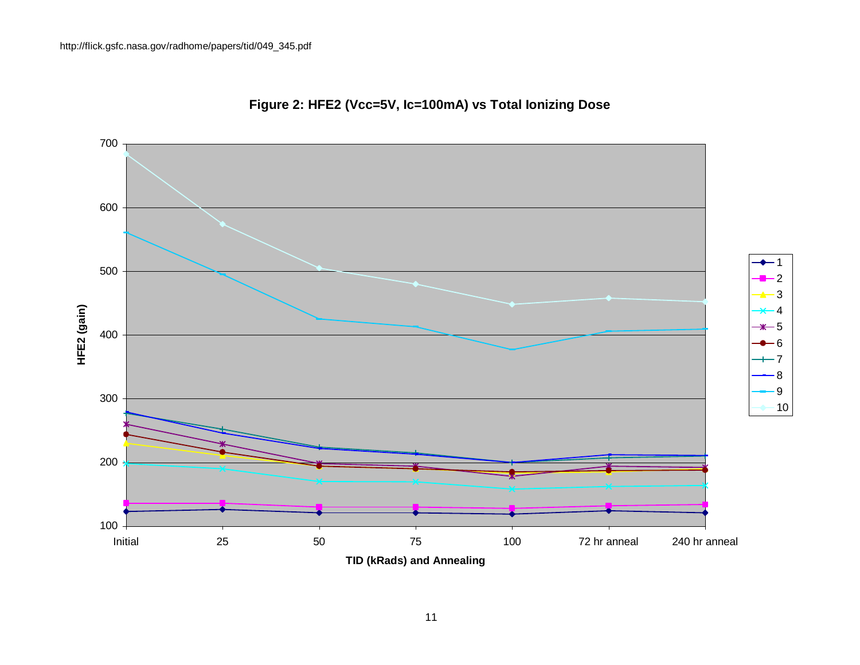

# **Figure 2: HFE2 (Vcc=5V, Ic=100mA) vs Total Ionizing Dose**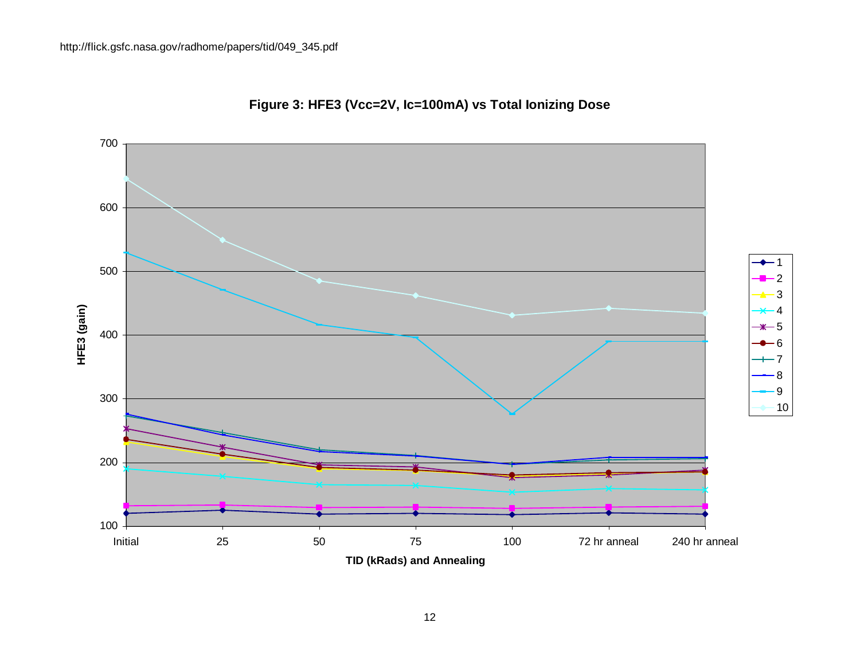

# **Figure 3: HFE3 (Vcc=2V, Ic=100mA) vs Total Ionizing Dose**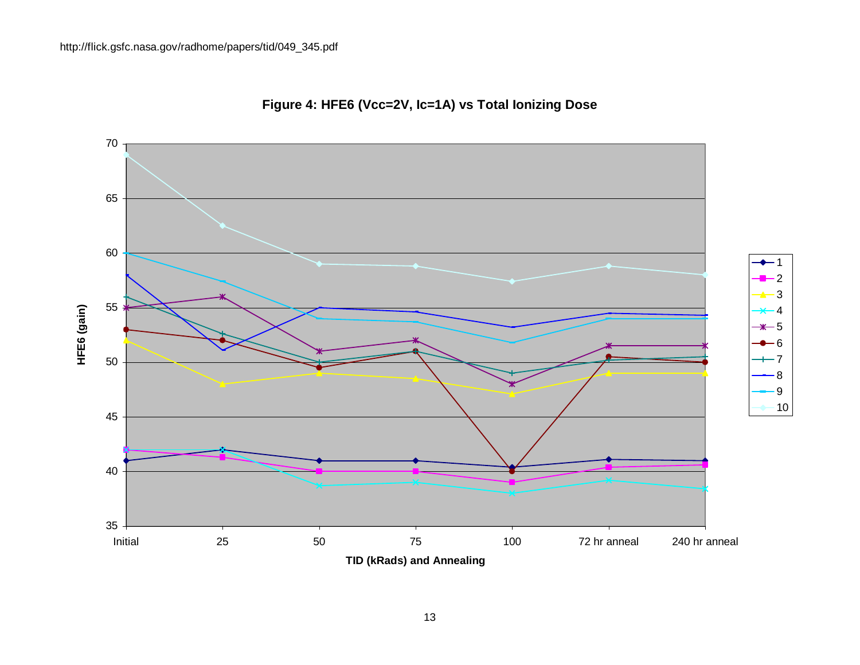

# **Figure 4: HFE6 (Vcc=2V, Ic=1A) vs Total Ionizing Dose**